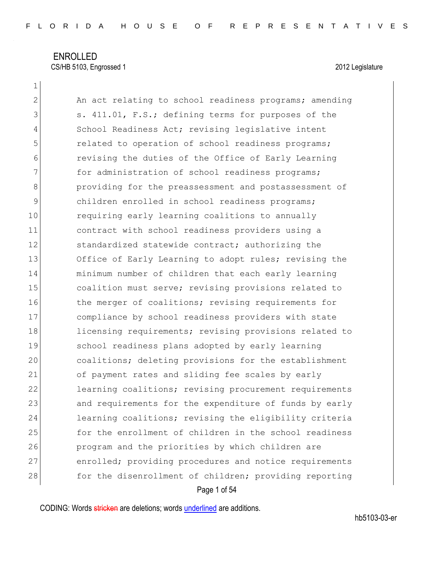1

2 An act relating to school readiness programs; amending 3 S. 411.01, F.S.; defining terms for purposes of the 4 School Readiness Act; revising legislative intent 5 **19** related to operation of school readiness programs; 6 revising the duties of the Office of Early Learning 7 **for administration of school readiness programs;** 8 8 providing for the preassessment and postassessment of 9 children enrolled in school readiness programs; 10 requiring early learning coalitions to annually 11 contract with school readiness providers using a 12 Standardized statewide contract; authorizing the 13 Office of Early Learning to adopt rules; revising the 14 minimum number of children that each early learning 15 coalition must serve; revising provisions related to 16 the merger of coalitions; revising requirements for 17 compliance by school readiness providers with state 18 licensing requirements; revising provisions related to 19 school readiness plans adopted by early learning 20 coalitions; deleting provisions for the establishment 21 of payment rates and sliding fee scales by early 22 learning coalitions; revising procurement requirements 23 and requirements for the expenditure of funds by early 24 learning coalitions; revising the eligibility criteria 25 for the enrollment of children in the school readiness 26 program and the priorities by which children are 27 enrolled; providing procedures and notice requirements 28 for the disenrollment of children; providing reporting

Page 1 of 54

CODING: Words stricken are deletions; words underlined are additions.

hb5103-03-er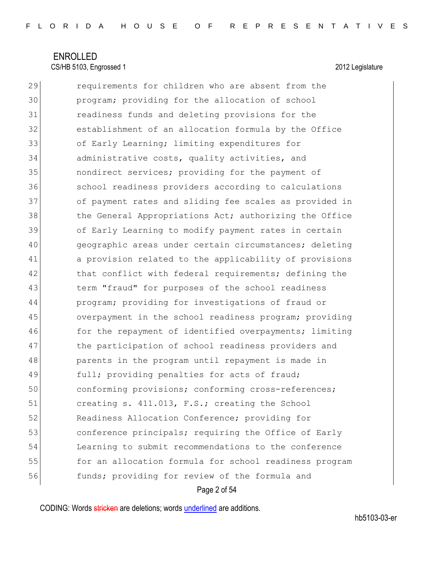29 requirements for children who are absent from the 30 program; providing for the allocation of school 31 readiness funds and deleting provisions for the 32 establishment of an allocation formula by the Office 33 of Early Learning; limiting expenditures for 34 administrative costs, quality activities, and 35 nondirect services; providing for the payment of 36 school readiness providers according to calculations 37 of payment rates and sliding fee scales as provided in 38 the General Appropriations Act; authorizing the Office 39 of Early Learning to modify payment rates in certain 40 geographic areas under certain circumstances; deleting 41 a provision related to the applicability of provisions 42 that conflict with federal requirements; defining the 43 term "fraud" for purposes of the school readiness 44 program; providing for investigations of fraud or 45 overpayment in the school readiness program; providing 46 for the repayment of identified overpayments; limiting 47 bthe participation of school readiness providers and 48 parents in the program until repayment is made in 49 full; providing penalties for acts of fraud; 50 conforming provisions; conforming cross-references; 51 creating s. 411.013, F.S.; creating the School 52 Readiness Allocation Conference; providing for 53 **conference principals; requiring the Office of Early** 54 Learning to submit recommendations to the conference 55 for an allocation formula for school readiness program 56 funds; providing for review of the formula and

Page 2 of 54

CODING: Words stricken are deletions; words underlined are additions.

hb5103-03-er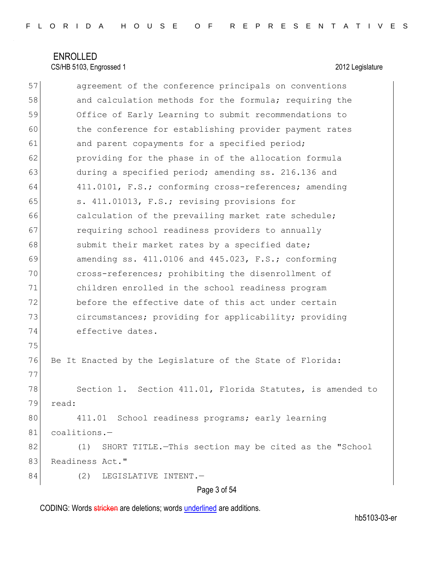| 57 | agreement of the conference principals on conventions          |
|----|----------------------------------------------------------------|
| 58 | and calculation methods for the formula; requiring the         |
| 59 | Office of Early Learning to submit recommendations to          |
| 60 | the conference for establishing provider payment rates         |
| 61 | and parent copayments for a specified period;                  |
| 62 | providing for the phase in of the allocation formula           |
| 63 | during a specified period; amending ss. 216.136 and            |
| 64 | 411.0101, F.S.; conforming cross-references; amending          |
| 65 | s. 411.01013, F.S.; revising provisions for                    |
| 66 | calculation of the prevailing market rate schedule;            |
| 67 | requiring school readiness providers to annually               |
| 68 | submit their market rates by a specified date;                 |
| 69 | amending ss. $411.0106$ and $445.023$ , F.S.; conforming       |
| 70 | cross-references; prohibiting the disenrollment of             |
| 71 | children enrolled in the school readiness program              |
| 72 | before the effective date of this act under certain            |
| 73 | circumstances; providing for applicability; providing          |
| 74 | effective dates.                                               |
| 75 |                                                                |
| 76 | Be It Enacted by the Legislature of the State of Florida:      |
| 77 |                                                                |
| 78 | Section 1. Section 411.01, Florida Statutes, is amended to     |
| 79 | read:                                                          |
| 80 | 411.01 School readiness programs; early learning               |
| 81 | coalitions.-                                                   |
| 82 | SHORT TITLE. - This section may be cited as the "School<br>(1) |
| 83 | Readiness Act."                                                |
| 84 | (2)<br>LEGISLATIVE INTENT.-                                    |
|    | Page 3 of 54                                                   |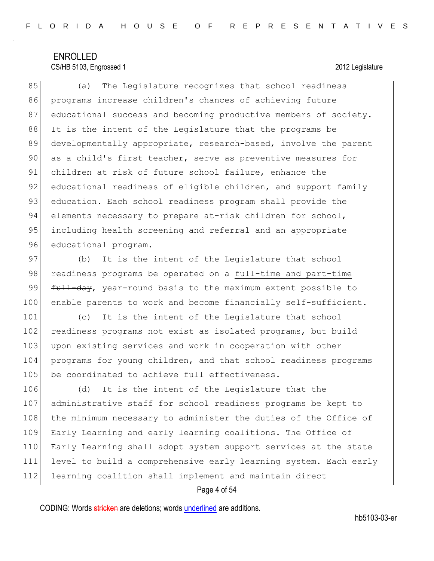### CS/HB 5103, Engrossed 1 2012 Legislature

85 (a) The Legislature recognizes that school readiness 86 programs increase children's chances of achieving future 87 educational success and becoming productive members of society. 88 It is the intent of the Legislature that the programs be 89 developmentally appropriate, research-based, involve the parent 90 as a child's first teacher, serve as preventive measures for 91 children at risk of future school failure, enhance the 92 educational readiness of eligible children, and support family 93 education. Each school readiness program shall provide the 94 elements necessary to prepare at-risk children for school, 95 including health screening and referral and an appropriate 96 educational program.

97 (b) It is the intent of the Legislature that school 98 readiness programs be operated on a full-time and part-time 99 <del>full-day</del>, year-round basis to the maximum extent possible to 100 enable parents to work and become financially self-sufficient.

101 (c) It is the intent of the Legislature that school 102 readiness programs not exist as isolated programs, but build 103 upon existing services and work in cooperation with other 104 programs for young children, and that school readiness programs 105 be coordinated to achieve full effectiveness.

106 (d) It is the intent of the Legislature that the 107 administrative staff for school readiness programs be kept to 108 the minimum necessary to administer the duties of the Office of 109 Early Learning and early learning coalitions. The Office of 110 Early Learning shall adopt system support services at the state 111 level to build a comprehensive early learning system. Each early 112 learning coalition shall implement and maintain direct

#### Page 4 of 54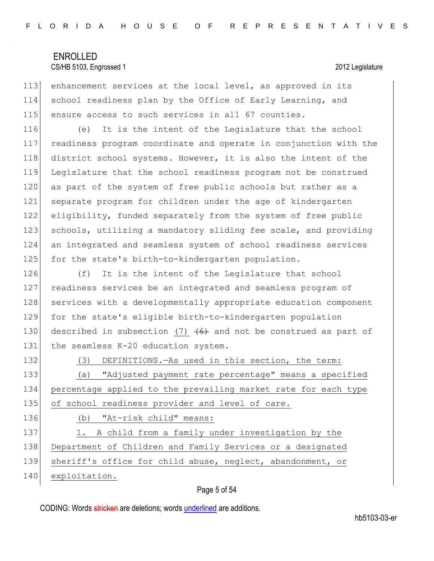113 enhancement services at the local level, as approved in its 114 school readiness plan by the Office of Early Learning, and 115 ensure access to such services in all 67 counties.

116 (e) It is the intent of the Legislature that the school 117 readiness program coordinate and operate in conjunction with the 118 district school systems. However, it is also the intent of the 119 Legislature that the school readiness program not be construed 120 as part of the system of free public schools but rather as a 121 separate program for children under the age of kindergarten 122 eligibility, funded separately from the system of free public 123 schools, utilizing a mandatory sliding fee scale, and providing 124 an integrated and seamless system of school readiness services 125 for the state's birth-to-kindergarten population.

126 (f) It is the intent of the Legislature that school 127 readiness services be an integrated and seamless program of 128 services with a developmentally appropriate education component 129 for the state's eligible birth-to-kindergarten population 130 described in subsection (7)  $+6+$  and not be construed as part of 131 the seamless K-20 education system.

132 (3) DEFINITIONS.—As used in this section, the term:

133 (a) "Adjusted payment rate percentage" means a specified 134 percentage applied to the prevailing market rate for each type 135 of school readiness provider and level of care.

136 (b) "At-risk child" means:

137 1. A child from a family under investigation by the 138 Department of Children and Family Services or a designated 139 sheriff's office for child abuse, neglect, abandonment, or

140 exploitation.

#### Page 5 of 54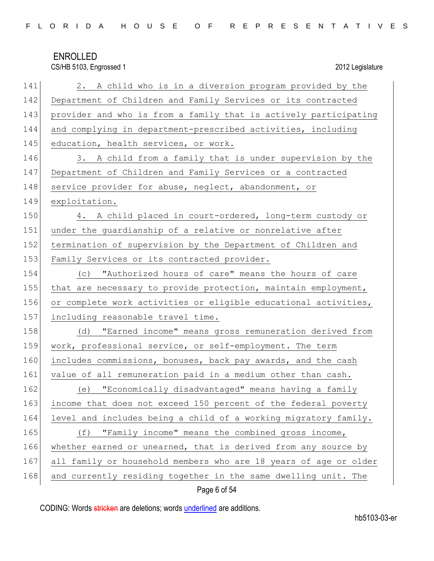|  |  |  |  |  |  |  |  |  |  |  |  | FLORIDA HOUSE OF REPRESENTATIVES |  |  |  |  |  |  |  |  |  |  |  |  |  |  |  |  |
|--|--|--|--|--|--|--|--|--|--|--|--|----------------------------------|--|--|--|--|--|--|--|--|--|--|--|--|--|--|--|--|
|--|--|--|--|--|--|--|--|--|--|--|--|----------------------------------|--|--|--|--|--|--|--|--|--|--|--|--|--|--|--|--|

CS/HB 5103, Engrossed 1 2012 Legislature 141 2. A child who is in a diversion program provided by the 142 Department of Children and Family Services or its contracted 143 provider and who is from a family that is actively participating 144 and complying in department-prescribed activities, including 145 education, health services, or work. 146 3. A child from a family that is under supervision by the 147 Department of Children and Family Services or a contracted 148 service provider for abuse, neglect, abandonment, or 149 exploitation. 150 4. A child placed in court-ordered, long-term custody or 151 under the quardianship of a relative or nonrelative after 152 termination of supervision by the Department of Children and 153 Family Services or its contracted provider. 154 (c) "Authorized hours of care" means the hours of care 155 that are necessary to provide protection, maintain employment, 156 or complete work activities or eligible educational activities, 157 including reasonable travel time. 158 (d) "Earned income" means gross remuneration derived from 159 work, professional service, or self-employment. The term 160 includes commissions, bonuses, back pay awards, and the cash 161 value of all remuneration paid in a medium other than cash. 162 (e) "Economically disadvantaged" means having a family 163 income that does not exceed 150 percent of the federal poverty 164 level and includes being a child of a working migratory family. 165 (f) "Family income" means the combined gross income, 166 whether earned or unearned, that is derived from any source by 167 all family or household members who are 18 years of age or older 168 and currently residing together in the same dwelling unit. The

Page 6 of 54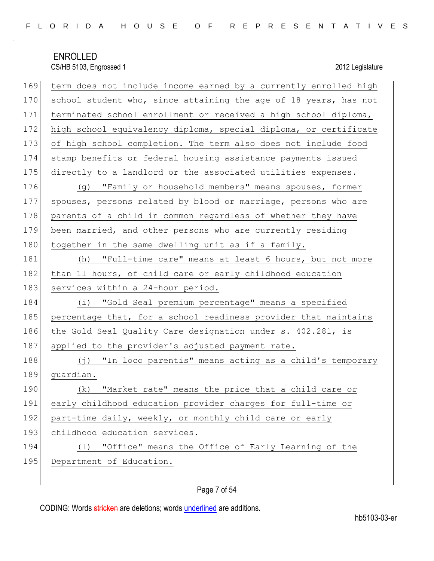| 169 | term does not include income earned by a currently enrolled high |
|-----|------------------------------------------------------------------|
| 170 | school student who, since attaining the age of 18 years, has not |
| 171 | terminated school enrollment or received a high school diploma,  |
| 172 | high school equivalency diploma, special diploma, or certificate |
| 173 | of high school completion. The term also does not include food   |
| 174 | stamp benefits or federal housing assistance payments issued     |
| 175 | directly to a landlord or the associated utilities expenses.     |
| 176 | (g) "Family or household members" means spouses, former          |
| 177 | spouses, persons related by blood or marriage, persons who are   |
| 178 | parents of a child in common regardless of whether they have     |
| 179 | been married, and other persons who are currently residing       |
| 180 | together in the same dwelling unit as if a family.               |
| 181 | (h) "Full-time care" means at least 6 hours, but not more        |
| 182 | than 11 hours, of child care or early childhood education        |
| 183 | services within a 24-hour period.                                |
| 184 | (i) "Gold Seal premium percentage" means a specified             |
| 185 | percentage that, for a school readiness provider that maintains  |
| 186 | the Gold Seal Quality Care designation under s. 402.281, is      |
| 187 | applied to the provider's adjusted payment rate.                 |
| 188 | (j) "In loco parentis" means acting as a child's temporary       |
| 189 | guardian.                                                        |
| 190 | "Market rate" means the price that a child care or<br>(k)        |
| 191 | early childhood education provider charges for full-time or      |
| 192 | part-time daily, weekly, or monthly child care or early          |
| 193 | childhood education services.                                    |
| 194 | "Office" means the Office of Early Learning of the<br>(1)        |
| 195 | Department of Education.                                         |
|     |                                                                  |

## Page 7 of 54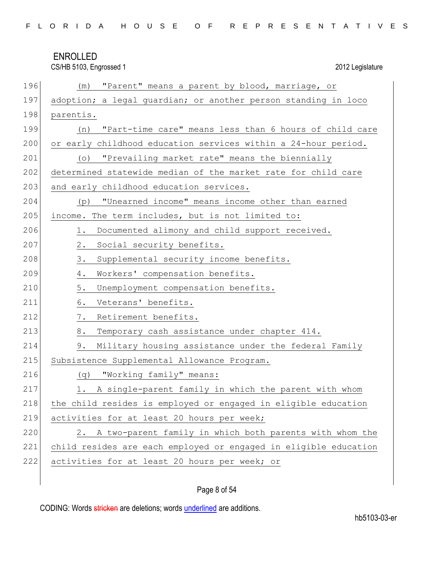| FLORIDA HOUSE OF REPRESENTATIVES |  |
|----------------------------------|--|
|----------------------------------|--|

CS/HB 5103, Engrossed 1 2012 Legislature

| 196 | "Parent" means a parent by blood, marriage, or<br>(m)            |
|-----|------------------------------------------------------------------|
| 197 | adoption; a legal guardian; or another person standing in loco   |
| 198 | parentis.                                                        |
| 199 | "Part-time care" means less than 6 hours of child care<br>(n)    |
| 200 | or early childhood education services within a 24-hour period.   |
| 201 | "Prevailing market rate" means the biennially<br>$(\circ)$       |
| 202 | determined statewide median of the market rate for child care    |
| 203 | and early childhood education services.                          |
| 204 | "Unearned income" means income other than earned<br>(p)          |
| 205 | income. The term includes, but is not limited to:                |
| 206 | Documented alimony and child support received.<br>1.             |
| 207 | 2.<br>Social security benefits.                                  |
| 208 | 3.<br>Supplemental security income benefits.                     |
| 209 | Workers' compensation benefits.<br>4.                            |
| 210 | 5.<br>Unemployment compensation benefits.                        |
| 211 | 6.<br>Veterans' benefits.                                        |
| 212 | Retirement benefits.<br>7.                                       |
| 213 | 8.<br>Temporary cash assistance under chapter 414.               |
| 214 | 9.<br>Military housing assistance under the federal Family       |
| 215 | Subsistence Supplemental Allowance Program.                      |
| 216 | "Working family" means:<br>(q)                                   |
| 217 | 1. A single-parent family in which the parent with whom          |
| 218 | the child resides is employed or engaged in eligible education   |
| 219 | activities for at least 20 hours per week;                       |
| 220 | A two-parent family in which both parents with whom the<br>2.    |
| 221 | child resides are each employed or engaged in eligible education |
| 222 | activities for at least 20 hours per week; or                    |
|     |                                                                  |

## Page 8 of 54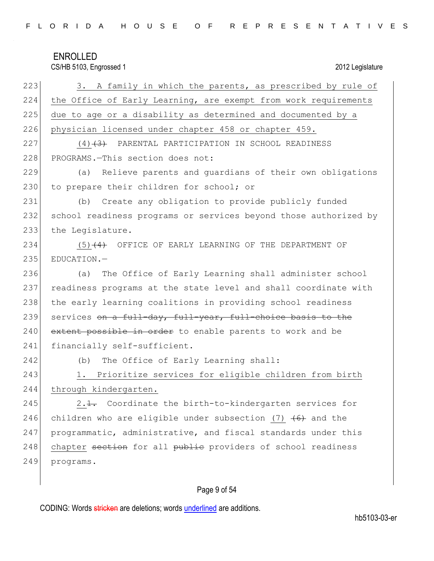| FLORIDA HOUSE OF REPRESENTATIVES |  |
|----------------------------------|--|
|----------------------------------|--|

CS/HB 5103, Engrossed 1 2012 Legislature

| 223 | 3. A family in which the parents, as prescribed by rule of              |
|-----|-------------------------------------------------------------------------|
| 224 | the Office of Early Learning, are exempt from work requirements         |
| 225 | due to age or a disability as determined and documented by a            |
| 226 | physician licensed under chapter 458 or chapter 459.                    |
| 227 | $(4)$ $(3)$ PARENTAL PARTICIPATION IN SCHOOL READINESS                  |
| 228 | PROGRAMS.-This section does not:                                        |
| 229 | Relieve parents and quardians of their own obligations<br>(a)           |
| 230 | to prepare their children for school; or                                |
| 231 | Create any obligation to provide publicly funded<br>(b)                 |
| 232 | school readiness programs or services beyond those authorized by        |
| 233 | the Legislature.                                                        |
| 234 | $(5)$ $(4)$ OFFICE OF EARLY LEARNING OF THE DEPARTMENT OF               |
| 235 | EDUCATION.-                                                             |
| 236 | The Office of Early Learning shall administer school<br>(a)             |
| 237 | readiness programs at the state level and shall coordinate with         |
| 238 | the early learning coalitions in providing school readiness             |
| 239 | services on a full-day, full-year, full-choice basis to the             |
| 240 | extent possible in order to enable parents to work and be               |
| 241 | financially self-sufficient.                                            |
| 242 | The Office of Early Learning shall:<br>(b)                              |
| 243 | Prioritize services for eligible children from birth<br>1.              |
| 244 | through kindergarten.                                                   |
| 245 | 2. <del>1.</del> Coordinate the birth-to-kindergarten services for      |
| 246 | children who are eligible under subsection (7) $\left(6\right)$ and the |
| 247 | programmatic, administrative, and fiscal standards under this           |
| 248 | chapter section for all public providers of school readiness            |
| 249 | programs.                                                               |

## Page 9 of 54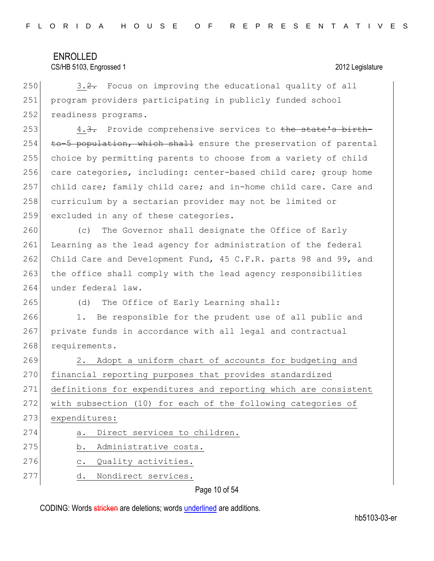CS/HB 5103, Engrossed 1 2012 Legislature

250  $\vert$  3.2. Focus on improving the educational quality of all 251 program providers participating in publicly funded school 252 readiness programs.

253  $\vert$  4.<del>3.</del> Provide comprehensive services to the state's birth- $254$  to-5 population, which shall ensure the preservation of parental 255 choice by permitting parents to choose from a variety of child 256 care categories, including: center-based child care; group home 257 child care; family child care; and in-home child care. Care and 258 curriculum by a sectarian provider may not be limited or 259 excluded in any of these categories.

260 (c) The Governor shall designate the Office of Early 261 Learning as the lead agency for administration of the federal 262 Child Care and Development Fund, 45 C.F.R. parts 98 and 99, and 263 the office shall comply with the lead agency responsibilities 264 under federal law.

265 (d) The Office of Early Learning shall:

266 1. Be responsible for the prudent use of all public and 267 private funds in accordance with all legal and contractual 268 requirements.

269 2. Adopt a uniform chart of accounts for budgeting and 270 financial reporting purposes that provides standardized 271 definitions for expenditures and reporting which are consistent 272 with subsection (10) for each of the following categories of 273 expenditures: 274 a. Direct services to children. 275 b. Administrative costs. 276 c. Quality activities. 277 d. Nondirect services.

Page 10 of 54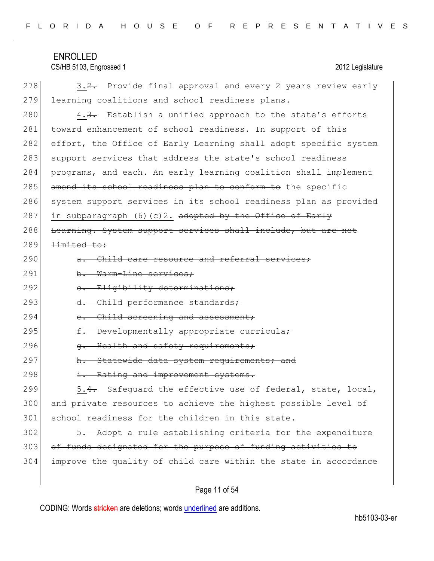|  |  |  |  |  |  |  |  |  |  |  |  | FLORIDA HOUSE OF REPRESENTATIVES |  |  |  |  |  |  |  |  |  |  |  |  |  |  |  |  |
|--|--|--|--|--|--|--|--|--|--|--|--|----------------------------------|--|--|--|--|--|--|--|--|--|--|--|--|--|--|--|--|
|--|--|--|--|--|--|--|--|--|--|--|--|----------------------------------|--|--|--|--|--|--|--|--|--|--|--|--|--|--|--|--|

CS/HB 5103, Engrossed 1 2012 Legislature

| 278 | 3.2. Provide final approval and every 2 years review early         |
|-----|--------------------------------------------------------------------|
| 279 | learning coalitions and school readiness plans.                    |
| 280 | 4.3. Establish a unified approach to the state's efforts           |
| 281 | toward enhancement of school readiness. In support of this         |
| 282 | effort, the Office of Early Learning shall adopt specific system   |
| 283 | support services that address the state's school readiness         |
| 284 | programs, and each. An early learning coalition shall implement    |
| 285 | amend its school readiness plan to conform to the specific         |
| 286 | system support services in its school readiness plan as provided   |
| 287 | in subparagraph (6)(c)2. <del>adopted by the Office of Early</del> |
| 288 | Learning. System support services shall include, but are not       |
| 289 | <del>limited to:</del>                                             |
| 290 | a. Child care resource and referral services;                      |
| 291 | b. Warm-Line services;                                             |
| 292 | e. Eligibility determinations;                                     |
| 293 | d. Child performance standards;                                    |
| 294 | Child screening and assessment;<br>$e_{\bullet}$                   |
| 295 | f. Developmentally appropriate curricula;                          |
| 296 | Health and safety requirements;<br>$\sigma$ .                      |
| 297 | h. Statewide data system requirements; and                         |
| 298 | i. Rating and improvement systems.                                 |
| 299 | 5.4. Safeguard the effective use of federal, state, local,         |
| 300 | and private resources to achieve the highest possible level of     |
| 301 | school readiness for the children in this state.                   |
| 302 | 5. Adopt a rule establishing criteria for the expenditure          |
| 303 | of funds designated for the purpose of funding activities to       |
| 304 | improve the quality of child care within the state in accordance   |
|     |                                                                    |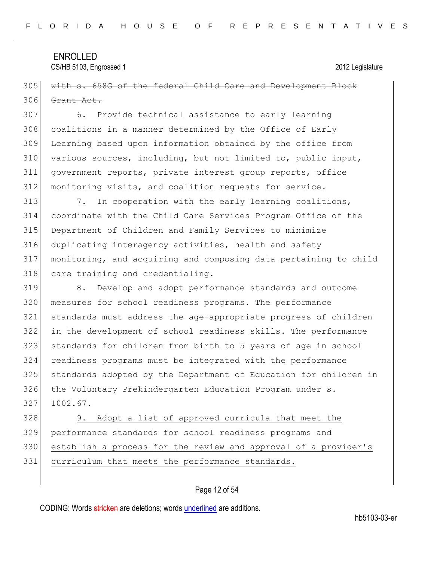CS/HB 5103, Engrossed 1 2012 Legislature

## 305 with s. 658G of the federal Child Care and Development Block Grant Act.

 6. Provide technical assistance to early learning 308 coalitions in a manner determined by the Office of Early Learning based upon information obtained by the office from various sources, including, but not limited to, public input, government reports, private interest group reports, office 312 monitoring visits, and coalition requests for service.

313 7. In cooperation with the early learning coalitions, coordinate with the Child Care Services Program Office of the Department of Children and Family Services to minimize duplicating interagency activities, health and safety monitoring, and acquiring and composing data pertaining to child 318 care training and credentialing.

 8. Develop and adopt performance standards and outcome measures for school readiness programs. The performance standards must address the age-appropriate progress of children in the development of school readiness skills. The performance standards for children from birth to 5 years of age in school readiness programs must be integrated with the performance standards adopted by the Department of Education for children in 326 the Voluntary Prekindergarten Education Program under s. 1002.67.

 9. Adopt a list of approved curricula that meet the performance standards for school readiness programs and establish a process for the review and approval of a provider's curriculum that meets the performance standards.

#### Page 12 of 54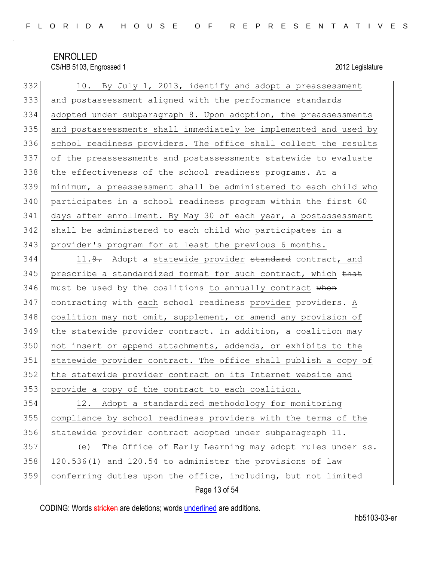| 332 | 10. By July 1, 2013, identify and adopt a preassessment          |
|-----|------------------------------------------------------------------|
| 333 | and postassessment aligned with the performance standards        |
| 334 | adopted under subparagraph 8. Upon adoption, the preassessments  |
| 335 | and postassessments shall immediately be implemented and used by |
| 336 | school readiness providers. The office shall collect the results |
| 337 | of the preassessments and postassessments statewide to evaluate  |
| 338 | the effectiveness of the school readiness programs. At a         |
| 339 | minimum, a preassessment shall be administered to each child who |
| 340 | participates in a school readiness program within the first 60   |
| 341 | days after enrollment. By May 30 of each year, a postassessment  |
| 342 | shall be administered to each child who participates in a        |
| 343 | provider's program for at least the previous 6 months.           |
| 344 | 11.9. Adopt a statewide provider standard contract, and          |
| 345 | prescribe a standardized format for such contract, which that    |
| 346 | must be used by the coalitions to annually contract when         |
| 347 | contracting with each school readiness provider providers. A     |
| 348 | coalition may not omit, supplement, or amend any provision of    |
| 349 | the statewide provider contract. In addition, a coalition may    |
| 350 | not insert or append attachments, addenda, or exhibits to the    |
| 351 | statewide provider contract. The office shall publish a copy of  |
| 352 | the statewide provider contract on its Internet website and      |
| 353 | provide a copy of the contract to each coalition.                |
| 354 | Adopt a standardized methodology for monitoring<br>12.           |
| 355 | compliance by school readiness providers with the terms of the   |
| 356 | statewide provider contract adopted under subparagraph 11.       |
| 357 | The Office of Early Learning may adopt rules under ss.<br>(e)    |
| 358 | 120.536(1) and 120.54 to administer the provisions of law        |
| 359 | conferring duties upon the office, including, but not limited    |
|     | Page 13 of 54                                                    |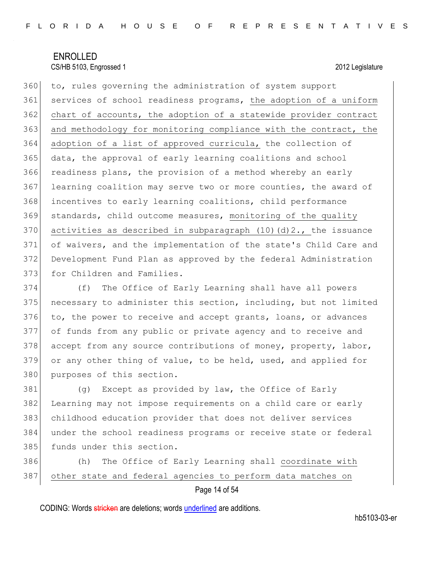360 to, rules governing the administration of system support 361 services of school readiness programs, the adoption of a uniform 362 chart of accounts, the adoption of a statewide provider contract 363 and methodology for monitoring compliance with the contract, the 364 adoption of a list of approved curricula, the collection of 365 data, the approval of early learning coalitions and school 366 readiness plans, the provision of a method whereby an early 367 learning coalition may serve two or more counties, the award of 368 incentives to early learning coalitions, child performance 369 standards, child outcome measures, monitoring of the quality 370 activities as described in subparagraph  $(10)(d)2$ ., the issuance 371 of waivers, and the implementation of the state's Child Care and 372 Development Fund Plan as approved by the federal Administration 373 for Children and Families.

374 (f) The Office of Early Learning shall have all powers 375 necessary to administer this section, including, but not limited 376 to, the power to receive and accept grants, loans, or advances 377 of funds from any public or private agency and to receive and 378 accept from any source contributions of money, property, labor, 379 or any other thing of value, to be held, used, and applied for 380 purposes of this section.

 (g) Except as provided by law, the Office of Early Learning may not impose requirements on a child care or early childhood education provider that does not deliver services under the school readiness programs or receive state or federal 385 funds under this section.

386 (h) The Office of Early Learning shall coordinate with 387 other state and federal agencies to perform data matches on

Page 14 of 54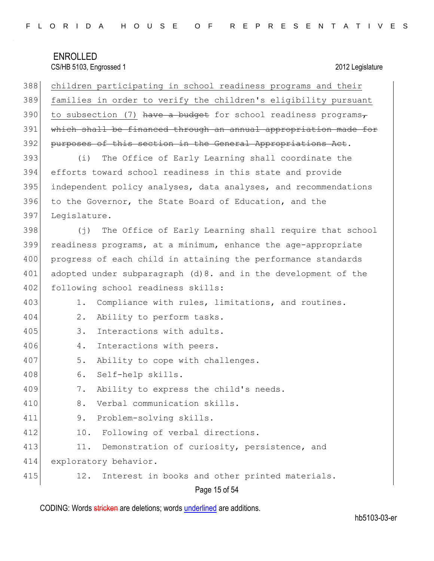| 388 | children participating in school readiness programs and their         |
|-----|-----------------------------------------------------------------------|
| 389 | families in order to verify the children's eligibility pursuant       |
| 390 | to subsection (7) have a budget for school readiness programs,        |
| 391 | which shall be financed through an annual appropriation made for      |
| 392 | purposes of this section in the General Appropriations Act.           |
| 393 | The Office of Early Learning shall coordinate the<br>(i)              |
| 394 | efforts toward school readiness in this state and provide             |
| 395 | independent policy analyses, data analyses, and recommendations       |
| 396 | to the Governor, the State Board of Education, and the                |
| 397 | Legislature.                                                          |
| 398 | The Office of Early Learning shall require that school<br>$(\dagger)$ |
| 399 | readiness programs, at a minimum, enhance the age-appropriate         |
| 400 | progress of each child in attaining the performance standards         |
| 401 | adopted under subparagraph (d) 8. and in the development of the       |
| 402 | following school readiness skills:                                    |
| 403 | Compliance with rules, limitations, and routines.<br>1.               |
| 404 | $2$ .<br>Ability to perform tasks.                                    |
| 405 | 3.<br>Interactions with adults.                                       |
| 406 | Interactions with peers.<br>4.                                        |
| 407 | 5.<br>Ability to cope with challenges.                                |
| 408 | 6.<br>Self-help skills.                                               |
| 409 | Ability to express the child's needs.<br>7.                           |
| 410 | Verbal communication skills.<br>8.                                    |
| 411 | Problem-solving skills.<br>9.                                         |
| 412 | Following of verbal directions.<br>10.                                |
| 413 | 11.<br>Demonstration of curiosity, persistence, and                   |
| 414 | exploratory behavior.                                                 |
| 415 | Interest in books and other printed materials.<br>12.                 |

Page 15 of 54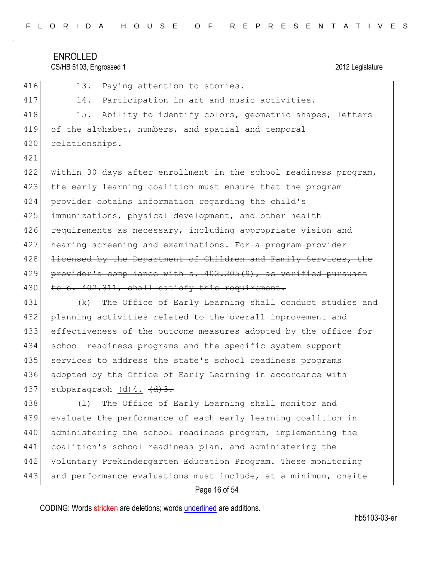| FLORIDA HOUSE OF REPRESENTATIVES |  |  |  |  |  |  |  |  |  |  |  |
|----------------------------------|--|--|--|--|--|--|--|--|--|--|--|
|----------------------------------|--|--|--|--|--|--|--|--|--|--|--|

## CS/HB 5103, Engrossed 1 2012 Legislature

| 416 | 13.<br>Paying attention to stories.                              |
|-----|------------------------------------------------------------------|
| 417 | Participation in art and music activities.<br>14.                |
| 418 | 15.<br>Ability to identify colors, geometric shapes, letters     |
| 419 | of the alphabet, numbers, and spatial and temporal               |
| 420 | relationships.                                                   |
| 421 |                                                                  |
| 422 | Within 30 days after enrollment in the school readiness program, |
| 423 | the early learning coalition must ensure that the program        |
| 424 | provider obtains information regarding the child's               |
| 425 | immunizations, physical development, and other health            |
| 426 | requirements as necessary, including appropriate vision and      |
| 427 | hearing screening and examinations. For a program provider       |
| 428 | licensed by the Department of Children and Family Services, the  |
| 429 | provider's compliance with s. 402.305(9), as verified pursuant   |
| 430 | to s. 402.311, shall satisfy this requirement.                   |
| 431 | The Office of Early Learning shall conduct studies and<br>(k)    |
| 432 | planning activities related to the overall improvement and       |
| 433 | effectiveness of the outcome measures adopted by the office for  |
| 434 | school readiness programs and the specific system support        |
| 435 | services to address the state's school readiness programs        |
| 436 | adopted by the Office of Early Learning in accordance with       |
| 437 | subparagraph (d) 4. (d) 3.                                       |
| 438 | The Office of Early Learning shall monitor and<br>(1)            |
| 439 | evaluate the performance of each early learning coalition in     |
| 440 | administering the school readiness program, implementing the     |
| 441 | coalition's school readiness plan, and administering the         |
| 442 | Voluntary Prekindergarten Education Program. These monitoring    |
| 443 | and performance evaluations must include, at a minimum, onsite   |
|     | Page 16 of 54                                                    |

CODING: Words stricken are deletions; words underlined are additions.

hb5103-03-er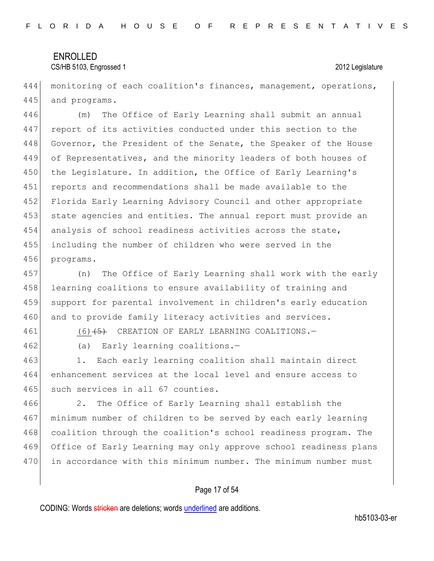444 monitoring of each coalition's finances, management, operations, 445 and programs.

 (m) The Office of Early Learning shall submit an annual report of its activities conducted under this section to the 448 Governor, the President of the Senate, the Speaker of the House 449 of Representatives, and the minority leaders of both houses of 450 the Legislature. In addition, the Office of Early Learning's reports and recommendations shall be made available to the Florida Early Learning Advisory Council and other appropriate state agencies and entities. The annual report must provide an 454 analysis of school readiness activities across the state, including the number of children who were served in the programs.

457 (n) The Office of Early Learning shall work with the early 458 learning coalitions to ensure availability of training and 459 support for parental involvement in children's early education 460 and to provide family literacy activities and services.

461 (6)<del>(5)</del> CREATION OF EARLY LEARNING COALITIONS.

462 (a) Early learning coalitions.-

463 1. Each early learning coalition shall maintain direct 464 enhancement services at the local level and ensure access to 465 such services in all 67 counties.

466 2. The Office of Early Learning shall establish the 467 minimum number of children to be served by each early learning 468 coalition through the coalition's school readiness program. The 469 Office of Early Learning may only approve school readiness plans 470 in accordance with this minimum number. The minimum number must

#### Page 17 of 54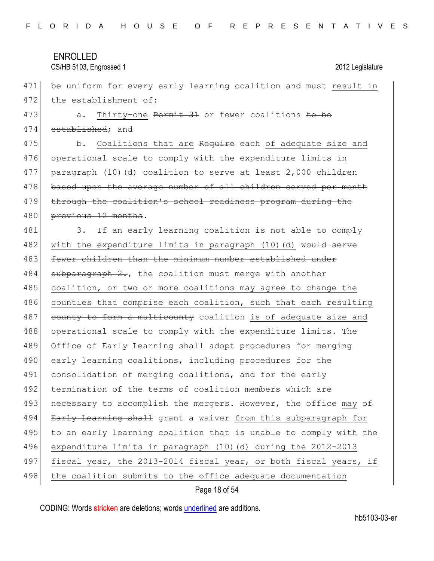#### CS/HB 5103, Engrossed 1 2012 Legislature

471 be uniform for every early learning coalition and must result in 472 the establishment of: 473 a. Thirty-one Permit 31 or fewer coalitions to be 474 established; and 475 b. Coalitions that are Require each of adequate size and 476 operational scale to comply with the expenditure limits in 477 paragraph  $(10)$  (d) coalition to serve at least 2,000 children 478 based upon the average number of all children served per month 479 through the coalition's school readiness program during the 480 previous 12 months. 481 3. If an early learning coalition is not able to comply 482 with the expenditure limits in paragraph (10)(d) would serve 483 fewer children than the minimum number established under  $484$  subparagraph 2., the coalition must merge with another 485 coalition, or two or more coalitions may agree to change the 486 counties that comprise each coalition, such that each resulting 487 county to form a multicounty coalition is of adequate size and 488 operational scale to comply with the expenditure limits. The 489 Office of Early Learning shall adopt procedures for merging 490 early learning coalitions, including procedures for the 491 consolidation of merging coalitions, and for the early 492 termination of the terms of coalition members which are 493 necessary to accomplish the mergers. However, the office may  $\sigma$ 494 Early Learning shall grant a waiver from this subparagraph for 495  $t$  to an early learning coalition that is unable to comply with the 496 expenditure limits in paragraph (10)(d) during the 2012-2013 497 fiscal year, the 2013-2014 fiscal year, or both fiscal years, if 498 the coalition submits to the office adequate documentation

Page 18 of 54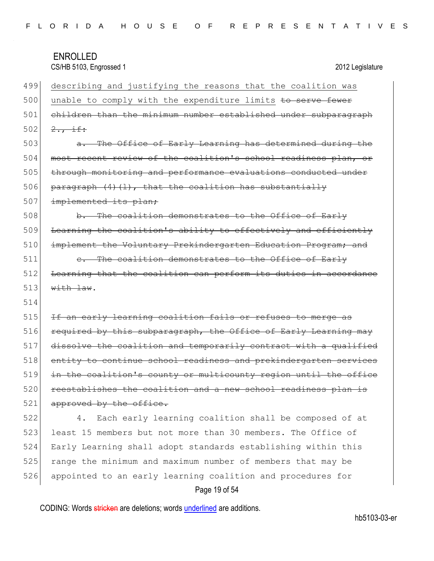| 499 | describing and justifying the reasons that the coalition was            |
|-----|-------------------------------------------------------------------------|
| 500 | unable to comply with the expenditure limits to serve fewer             |
| 501 | children than the minimum number established under subparagraph         |
| 502 | $2.7 + f$ :                                                             |
| 503 | a. The Office of Early Learning has determined during the               |
| 504 | most recent review of the coalition's school readiness plan, or         |
| 505 | through monitoring and performance evaluations conducted under          |
| 506 | $\frac{1}{2}$ paragraph $(4)(1)$ , that the coalition has substantially |
| 507 | implemented its plan;                                                   |
| 508 | b. The coalition demonstrates to the Office of Early                    |
| 509 | Learning the coalition's ability to effectively and efficiently         |
| 510 | implement the Voluntary Prekindergarten Education Program; and          |
| 511 | e. The coalition demonstrates to the Office of Early                    |
| 512 | Learning that the coalition can perform its duties in accordance        |
|     |                                                                         |
| 513 | with law.                                                               |
| 514 |                                                                         |
| 515 | If an early learning coalition fails or refuses to merge as             |
| 516 | required by this subparagraph, the Office of Early Learning may         |
| 517 | dissolve the coalition and temporarily contract with a qualified        |
| 518 | entity to continue school readiness and prekindergarten services        |
| 519 | in the coalition's county or multicounty region until the office        |
| 520 | reestablishes the coalition and a new school readiness plan is          |
| 521 | approved by the office.                                                 |
| 522 | Each early learning coalition shall be composed of at<br>4.             |
| 523 | least 15 members but not more than 30 members. The Office of            |
| 524 | Early Learning shall adopt standards establishing within this           |
| 525 | range the minimum and maximum number of members that may be             |
| 526 | appointed to an early learning coalition and procedures for             |

## Page 19 of 54

CODING: Words stricken are deletions; words underlined are additions.

hb5103-03-er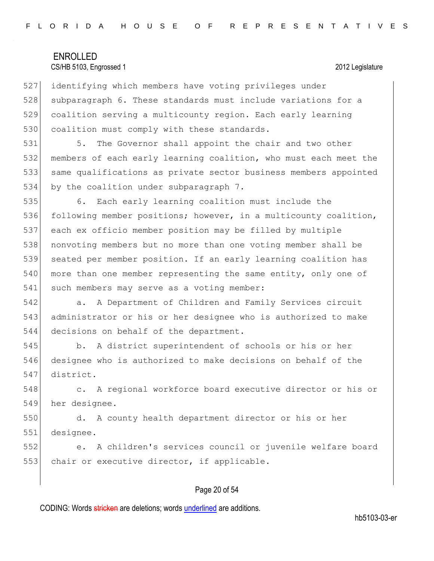527 identifying which members have voting privileges under 528 subparagraph 6. These standards must include variations for a 529 coalition serving a multicounty region. Each early learning 530 coalition must comply with these standards.

531 5. The Governor shall appoint the chair and two other 532 members of each early learning coalition, who must each meet the 533 same qualifications as private sector business members appointed 534 by the coalition under subparagraph 7.

535 6. Each early learning coalition must include the 536 following member positions; however, in a multicounty coalition, 537 each ex officio member position may be filled by multiple 538 nonvoting members but no more than one voting member shall be 539 seated per member position. If an early learning coalition has 540 more than one member representing the same entity, only one of 541 such members may serve as a voting member:

542 **a.** A Department of Children and Family Services circuit 543 administrator or his or her designee who is authorized to make 544 decisions on behalf of the department.

545 b. A district superintendent of schools or his or her 546 designee who is authorized to make decisions on behalf of the 547 district.

548 c. A regional workforce board executive director or his or 549 her designee.

550 d. A county health department director or his or her 551 designee.

552 e. A children's services council or juvenile welfare board 553 chair or executive director, if applicable.

#### Page 20 of 54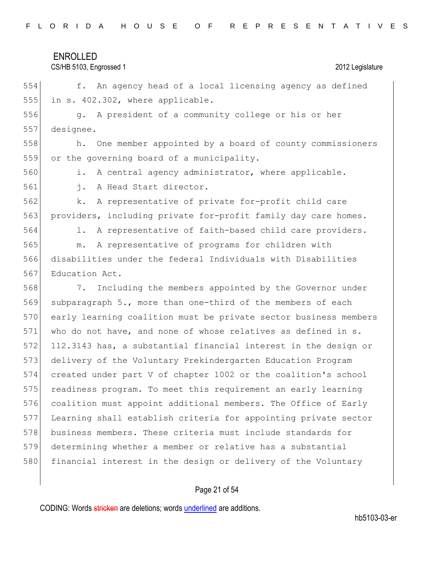| FLORIDA HOUSE OF REPRESENTATIVES |  |
|----------------------------------|--|
|----------------------------------|--|

CS/HB 5103, Engrossed 1 2012 Legislature

554 f. An agency head of a local licensing agency as defined 555 in s. 402.302, where applicable.

556 g. A president of a community college or his or her 557 designee.

558 h. One member appointed by a board of county commissioners 559 or the governing board of a municipality.

560 i. A central agency administrator, where applicable.

561 j. A Head Start director.

562 k. A representative of private for-profit child care 563 providers, including private for-profit family day care homes.

564 1. A representative of faith-based child care providers.

565 m. A representative of programs for children with 566 disabilities under the federal Individuals with Disabilities 567 Education Act.

568 7. Including the members appointed by the Governor under subparagraph 5., more than one-third of the members of each 570 early learning coalition must be private sector business members who do not have, and none of whose relatives as defined in s. 112.3143 has, a substantial financial interest in the design or delivery of the Voluntary Prekindergarten Education Program created under part V of chapter 1002 or the coalition's school 575 readiness program. To meet this requirement an early learning coalition must appoint additional members. The Office of Early Learning shall establish criteria for appointing private sector business members. These criteria must include standards for determining whether a member or relative has a substantial 580 financial interest in the design or delivery of the Voluntary

#### Page 21 of 54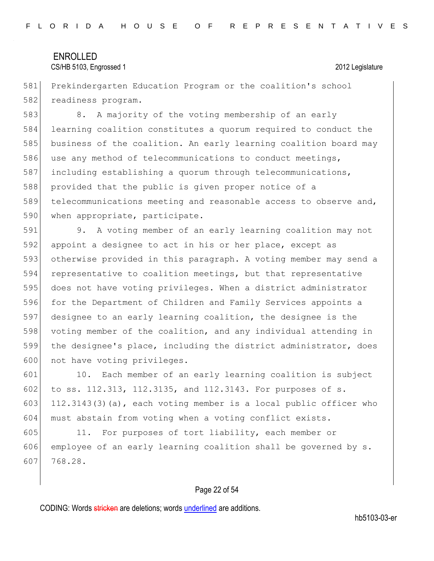581 Prekindergarten Education Program or the coalition's school 582 readiness program.

583 8. A majority of the voting membership of an early 584 learning coalition constitutes a quorum required to conduct the 585 business of the coalition. An early learning coalition board may 586 use any method of telecommunications to conduct meetings, 587 including establishing a quorum through telecommunications, 588 provided that the public is given proper notice of a 589 telecommunications meeting and reasonable access to observe and, 590 when appropriate, participate.

 9. A voting member of an early learning coalition may not appoint a designee to act in his or her place, except as otherwise provided in this paragraph. A voting member may send a representative to coalition meetings, but that representative does not have voting privileges. When a district administrator 596 for the Department of Children and Family Services appoints a designee to an early learning coalition, the designee is the voting member of the coalition, and any individual attending in the designee's place, including the district administrator, does 600 not have voting privileges.

601 10. Each member of an early learning coalition is subject 602 to ss. 112.313, 112.3135, and 112.3143. For purposes of s. 603 112.3143(3)(a), each voting member is a local public officer who 604 must abstain from voting when a voting conflict exists.

605 11. For purposes of tort liability, each member or 606 employee of an early learning coalition shall be governed by  $s$ . 607 768.28.

#### Page 22 of 54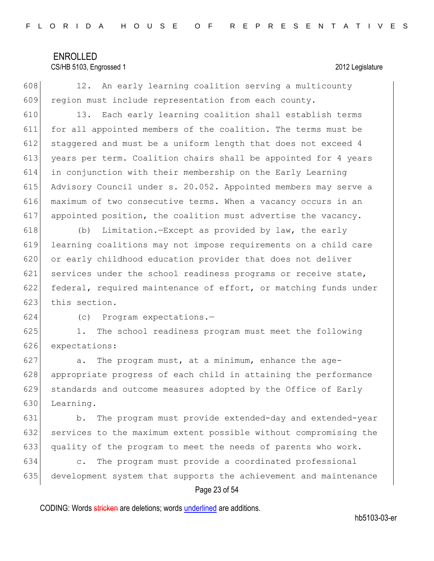#### CS/HB 5103, Engrossed 1 2012 Legislature

 $608$  12. An early learning coalition serving a multicounty 609 region must include representation from each county.

 13. Each early learning coalition shall establish terms for all appointed members of the coalition. The terms must be staggered and must be a uniform length that does not exceed 4 years per term. Coalition chairs shall be appointed for 4 years in conjunction with their membership on the Early Learning Advisory Council under s. 20.052. Appointed members may serve a maximum of two consecutive terms. When a vacancy occurs in an appointed position, the coalition must advertise the vacancy.

618 (b) Limitation.—Except as provided by law, the early 619 learning coalitions may not impose requirements on a child care 620 or early childhood education provider that does not deliver 621 services under the school readiness programs or receive state, 622 federal, required maintenance of effort, or matching funds under 623 this section.

624 (c) Program expectations.—

625 1. The school readiness program must meet the following 626 expectations:

627 a. The program must, at a minimum, enhance the age-628 | appropriate progress of each child in attaining the performance 629 standards and outcome measures adopted by the Office of Early 630 Learning.

631 b. The program must provide extended-day and extended-year 632 services to the maximum extent possible without compromising the 633 quality of the program to meet the needs of parents who work.

634 c. The program must provide a coordinated professional 635 development system that supports the achievement and maintenance

#### Page 23 of 54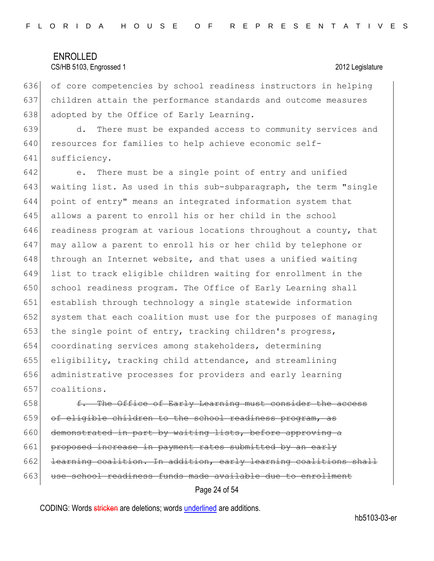636 of core competencies by school readiness instructors in helping 637 children attain the performance standards and outcome measures 638 adopted by the Office of Early Learning.

639 d. There must be expanded access to community services and 640 resources for families to help achieve economic self-641 sufficiency.

 e. There must be a single point of entry and unified 643 waiting list. As used in this sub-subparagraph, the term "single point of entry" means an integrated information system that allows a parent to enroll his or her child in the school readiness program at various locations throughout a county, that may allow a parent to enroll his or her child by telephone or 648 | through an Internet website, and that uses a unified waiting list to track eligible children waiting for enrollment in the 650 school readiness program. The Office of Early Learning shall establish through technology a single statewide information 652 system that each coalition must use for the purposes of managing 653 the single point of entry, tracking children's progress, coordinating services among stakeholders, determining eligibility, tracking child attendance, and streamlining administrative processes for providers and early learning coalitions.

 $658$   $f.$  The Office of Early Learning must consider the access 659 of eligible children to the school readiness program, as 660 demonstrated in part by waiting lists, before approving a 661 proposed increase in payment rates submitted by an early 662 learning coalition. In addition, early learning coalitions shall 663 use school readiness funds made available due to enrollment

Page 24 of 54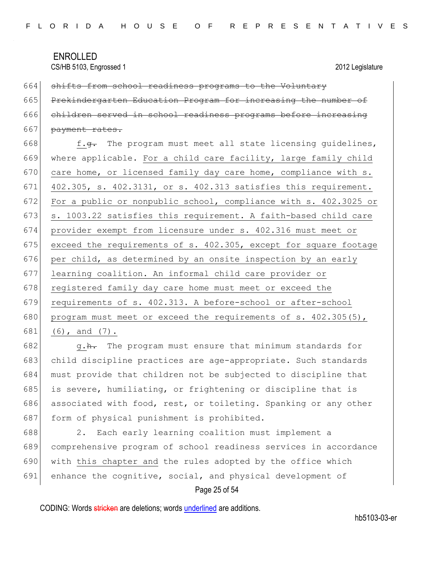664 shifts from school readiness programs to the Voluntary 665 Prekindergarten Education Program for increasing the number of 666 children served in school readiness programs before increasing 667 payment rates.

668  $f.9$ . The program must meet all state licensing guidelines, 669 where applicable. For a child care facility, large family child 670 care home, or licensed family day care home, compliance with  $s$ . 671 402.305, s. 402.3131, or s. 402.313 satisfies this requirement. 672 For a public or nonpublic school, compliance with s. 402.3025 or 673  $\vert$  s. 1003.22 satisfies this requirement. A faith-based child care 674 provider exempt from licensure under s. 402.316 must meet or 675 exceed the requirements of s. 402.305, except for square footage 676 per child, as determined by an onsite inspection by an early 677 learning coalition. An informal child care provider or 678 registered family day care home must meet or exceed the 679 requirements of s. 402.313. A before-school or after-school 680 program must meet or exceed the requirements of s.  $402.305(5)$ , 681 (6), and  $(7)$ .

682  $g \cdot h$ . The program must ensure that minimum standards for 683 child discipline practices are age-appropriate. Such standards 684 must provide that children not be subjected to discipline that 685 is severe, humiliating, or frightening or discipline that is 686 associated with food, rest, or toileting. Spanking or any other 687 form of physical punishment is prohibited.

688 2. Each early learning coalition must implement a 689 comprehensive program of school readiness services in accordance 690 with this chapter and the rules adopted by the office which 691 enhance the cognitive, social, and physical development of

#### Page 25 of 54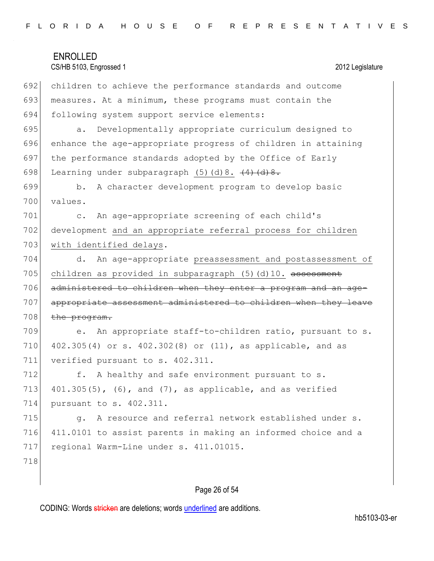| FLORIDA HOUSE OF REPRESENTATIVES |  |  |  |  |  |  |  |  |  |  |  |
|----------------------------------|--|--|--|--|--|--|--|--|--|--|--|
|----------------------------------|--|--|--|--|--|--|--|--|--|--|--|

# ENROLLED CS/HB 5103, Engrossed 1 2012 Legislature 692 children to achieve the performance standards and outcome 693 measures. At a minimum, these programs must contain the 694 following system support service elements: 695 | a. Developmentally appropriate curriculum designed to 696 enhance the age-appropriate progress of children in attaining 697 the performance standards adopted by the Office of Early 698 Learning under subparagraph  $(5)(d)8. ~~(4)(d)8.~~$ 699 b. A character development program to develop basic 700 values. 701 c. An age-appropriate screening of each child's 702 development and an appropriate referral process for children 703 with identified delays. 704 d. An age-appropriate preassessment and postassessment of 705 children as provided in subparagraph  $(5)$  (d)10. assessment 706 administered to children when they enter a program and an age-707 appropriate assessment administered to children when they leave  $708$  the program. 709 e. An appropriate staff-to-children ratio, pursuant to s. 710 402.305(4) or s. 402.302(8) or (11), as applicable, and as 711 verified pursuant to s. 402.311. 712 f. A healthy and safe environment pursuant to s. 713  $401.305(5)$ ,  $(6)$ , and  $(7)$ , as applicable, and as verified 714 pursuant to s. 402.311. 715  $\vert$  q. A resource and referral network established under s. 716 411.0101 to assist parents in making an informed choice and a 717 regional Warm-Line under s. 411.01015. 718

### Page 26 of 54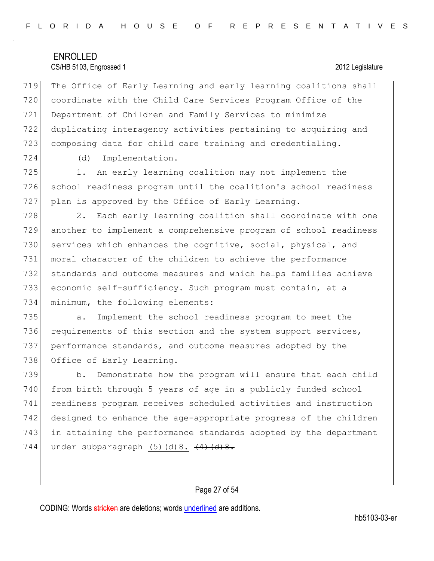719 The Office of Early Learning and early learning coalitions shall 720 coordinate with the Child Care Services Program Office of the 721 Department of Children and Family Services to minimize 722 duplicating interagency activities pertaining to acquiring and 723 composing data for child care training and credentialing.

724 (d) Implementation.—

725 1. An early learning coalition may not implement the 726 school readiness program until the coalition's school readiness 727 plan is approved by the Office of Early Learning.

728 2. Each early learning coalition shall coordinate with one another to implement a comprehensive program of school readiness 730 services which enhances the cognitive, social, physical, and moral character of the children to achieve the performance standards and outcome measures and which helps families achieve economic self-sufficiency. Such program must contain, at a minimum, the following elements:

735 a. Implement the school readiness program to meet the 736 requirements of this section and the system support services, 737 performance standards, and outcome measures adopted by the 738 Office of Early Learning.

739 b. Demonstrate how the program will ensure that each child 740 from birth through 5 years of age in a publicly funded school 741 readiness program receives scheduled activities and instruction 742 designed to enhance the age-appropriate progress of the children 743 in attaining the performance standards adopted by the department 744 under subparagraph  $(5)(d)8.  $(4)(d)8.$$ 

#### Page 27 of 54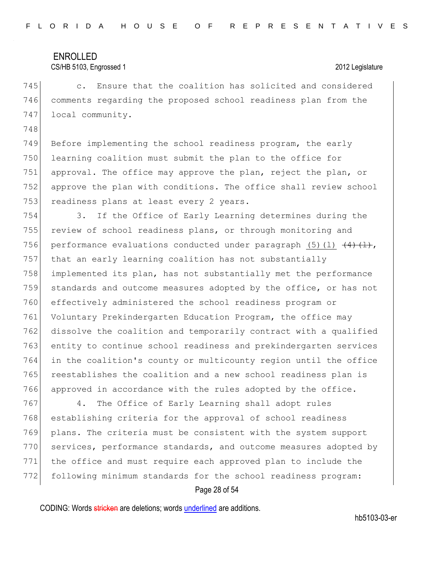748

#### CS/HB 5103, Engrossed 1 2012 Legislature

745 c. Ensure that the coalition has solicited and considered 746 comments regarding the proposed school readiness plan from the 747 local community.

749 Before implementing the school readiness program, the early 750 learning coalition must submit the plan to the office for 751 approval. The office may approve the plan, reject the plan, or 752 approve the plan with conditions. The office shall review school 753 readiness plans at least every 2 years.

 3. If the Office of Early Learning determines during the 755 review of school readiness plans, or through monitoring and 756 performance evaluations conducted under paragraph (5)(1)  $\left(4\right)\left(1\right)$ , that an early learning coalition has not substantially implemented its plan, has not substantially met the performance standards and outcome measures adopted by the office, or has not effectively administered the school readiness program or Voluntary Prekindergarten Education Program, the office may dissolve the coalition and temporarily contract with a qualified entity to continue school readiness and prekindergarten services in the coalition's county or multicounty region until the office reestablishes the coalition and a new school readiness plan is 766 approved in accordance with the rules adopted by the office.

767 4. The Office of Early Learning shall adopt rules 768 establishing criteria for the approval of school readiness 769 plans. The criteria must be consistent with the system support 770 services, performance standards, and outcome measures adopted by 771 the office and must require each approved plan to include the 772 following minimum standards for the school readiness program:

#### Page 28 of 54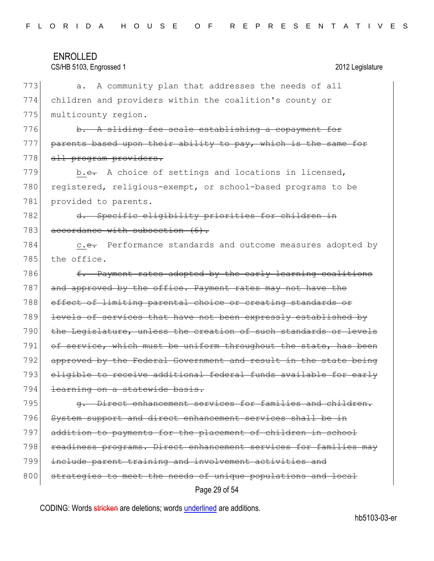| FLORIDA HOUSE OF REPRESENTATIVES |  |  |  |  |  |  |  |  |  |  |  |
|----------------------------------|--|--|--|--|--|--|--|--|--|--|--|
|----------------------------------|--|--|--|--|--|--|--|--|--|--|--|

# ENROLLED CS/HB 5103, Engrossed 1 2012 Legislature Page 29 of 54 773 a. A community plan that addresses the needs of all 774 children and providers within the coalition's county or 775 multicounty region. 776 b. A sliding fee scale establishing a copayment for 777 parents based upon their ability to pay, which is the same for 778 all program providers. 779 b.c. A choice of settings and locations in licensed, 780 registered, religious-exempt, or school-based programs to be 781 provided to parents. 782 d. Specific eligibility priorities for children in 783 accordance with subsection (6). 784 c.e. Performance standards and outcome measures adopted by 785 the office. 786  $f.$  Payment rates adopted by the early learning coalitions 787 and approved by the office. Payment rates may not have the 788 effect of limiting parental choice or creating standards or 789 levels of services that have not been expressly established by 790 the Legislature, unless the creation of such standards or levels 791 of service, which must be uniform throughout the state, has been 792 approved by the Federal Government and result in the state being 793 eligible to receive additional federal funds available for early 794 learning on a statewide basis. 795 **g.** Direct enhancement services for families and children. 796 System support and direct enhancement services shall be in 797 addition to payments for the placement of children in school 798 readiness programs. Direct enhancement services for families may 799 include parent training and involvement activities and 800 strategies to meet the needs of unique populations and local

CODING: Words stricken are deletions; words underlined are additions.

hb5103-03-er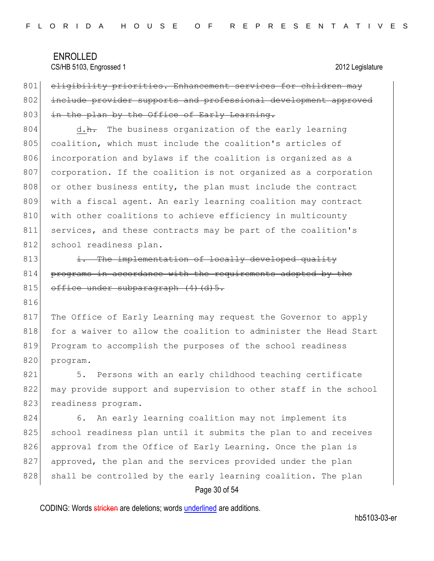801 eligibility priorities. Enhancement services for children may 802 include provider supports and professional development approved 803 in the plan by the Office of Early Learning.

804 d.h. The business organization of the early learning 805 coalition, which must include the coalition's articles of 806 incorporation and bylaws if the coalition is organized as a 807 corporation. If the coalition is not organized as a corporation  $808$  or other business entity, the plan must include the contract 809 with a fiscal agent. An early learning coalition may contract 810 with other coalitions to achieve efficiency in multicounty 811 services, and these contracts may be part of the coalition's 812 school readiness plan.

 $813$  i. The implementation of locally developed quality 814 programs in accordance with the requirements adopted by the 815 office under subparagraph (4)(d)5.

816

817 The Office of Early Learning may request the Governor to apply 818 for a waiver to allow the coalition to administer the Head Start 819 Program to accomplish the purposes of the school readiness 820 program.

821 5. Persons with an early childhood teaching certificate 822 may provide support and supervision to other staff in the school 823 readiness program.

824 6. An early learning coalition may not implement its 825 school readiness plan until it submits the plan to and receives 826 approval from the Office of Early Learning. Once the plan is 827 approved, the plan and the services provided under the plan 828 shall be controlled by the early learning coalition. The plan

#### Page 30 of 54

CODING: Words stricken are deletions; words underlined are additions.

hb5103-03-er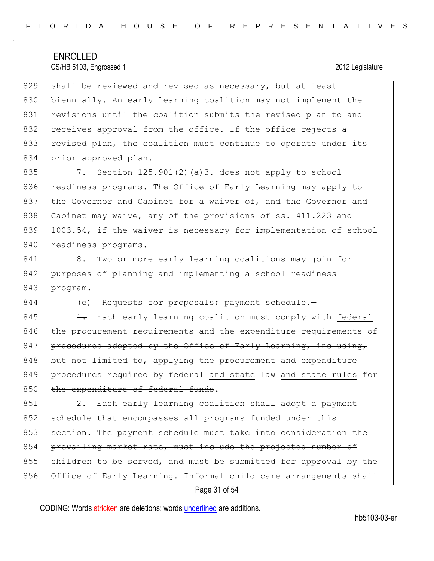829 shall be reviewed and revised as necessary, but at least 830 biennially. An early learning coalition may not implement the 831 revisions until the coalition submits the revised plan to and 832 receives approval from the office. If the office rejects a 833 revised plan, the coalition must continue to operate under its 834 prior approved plan.

835 7. Section 125.901(2)(a)3. does not apply to school 836 readiness programs. The Office of Early Learning may apply to 837 the Governor and Cabinet for a waiver of, and the Governor and 838 Cabinet may waive, any of the provisions of ss. 411.223 and 839 1003.54, if the waiver is necessary for implementation of school 840 readiness programs.

841 8. Two or more early learning coalitions may join for 842 purposes of planning and implementing a school readiness 843 program.

844 (e) Requests for proposals<del>; payment schedule</del>.-

845  $\left\vert \frac{1}{1} \right\vert$  Each early learning coalition must comply with federal 846 the procurement requirements and the expenditure requirements of  $847$  procedures adopted by the Office of Early Learning, including,  $848$  but not limited to, applying the procurement and expenditure 849 procedures required by federal and state law and state rules for 850 the expenditure of federal funds.

Page 31 of 54  $851$  2. Each early learning coalition shall adopt a payment 852 schedule that encompasses all programs funded under this 853 section. The payment schedule must take into consideration the 854 prevailing market rate, must include the projected number of 855 children to be served, and must be submitted for approval by the 856 Office of Early Learning. Informal child care arrangements shall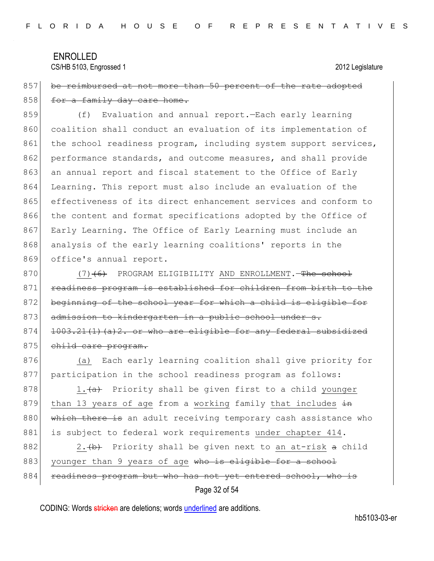857 be reimbursed at not more than 50 percent of the rate adopted 858 for a family day care home.

859 (f) Evaluation and annual report.—Each early learning 860 coalition shall conduct an evaluation of its implementation of 861 the school readiness program, including system support services, 862 performance standards, and outcome measures, and shall provide 863 an annual report and fiscal statement to the Office of Early 864 Learning. This report must also include an evaluation of the 865 effectiveness of its direct enhancement services and conform to 866 the content and format specifications adopted by the Office of 867 Early Learning. The Office of Early Learning must include an 868 analysis of the early learning coalitions' reports in the 869 office's annual report.

870 (7)<del>(6)</del> PROGRAM ELIGIBILITY AND ENROLLMENT.—The school 871 readiness program is established for children from birth to the 872 beginning of the school year for which a child is eligible for 873 admission to kindergarten in a public school under s. 874  $\vert$  1003.21(1)(a)2. or who are eligible for any federal subsidized 875 child care program.

876 (a) Each early learning coalition shall give priority for 877 participation in the school readiness program as follows:

878 1. (a) Priority shall be given first to a child younger 879 than 13 years of age from a working family that includes  $\pm n$ 880 which there is an adult receiving temporary cash assistance who 881 is subject to federal work requirements under chapter 414.

882 2.  $\leftrightarrow$  Priority shall be given next to an at-risk a child 883 younger than 9 years of age who is eligible for a school 884 readiness program but who has not yet entered school, who is

```
Page 32 of 54
```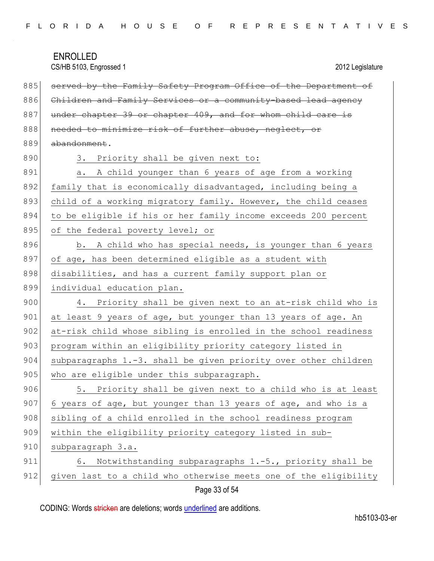CS/HB 5103, Engrossed 1 2012 Legislature

| 885 | served by the Family Safety Program Office of the Department of  |
|-----|------------------------------------------------------------------|
| 886 | Children and Family Services or a community-based lead agency    |
| 887 | under chapter 39 or chapter 409, and for whom child care is      |
| 888 | needed to minimize risk of further abuse, neglect, or            |
| 889 | abandonment.                                                     |
| 890 | 3. Priority shall be given next to:                              |
| 891 | A child younger than 6 years of age from a working<br>a.         |
| 892 | family that is economically disadvantaged, including being a     |
| 893 | child of a working migratory family. However, the child ceases   |
| 894 | to be eligible if his or her family income exceeds 200 percent   |
| 895 | of the federal poverty level; or                                 |
| 896 | b. A child who has special needs, is younger than 6 years        |
| 897 | of age, has been determined eligible as a student with           |
| 898 | disabilities, and has a current family support plan or           |
| 899 | individual education plan.                                       |
| 900 | 4. Priority shall be given next to an at-risk child who is       |
| 901 | at least 9 years of age, but younger than 13 years of age. An    |
| 902 | at-risk child whose sibling is enrolled in the school readiness  |
| 903 | program within an eligibility priority category listed in        |
| 904 | subparagraphs 1.-3. shall be given priority over other children  |
| 905 | who are eligible under this subparagraph.                        |
| 906 | 5. Priority shall be given next to a child who is at least       |
| 907 | 6 years of age, but younger than 13 years of age, and who is a   |
| 908 | sibling of a child enrolled in the school readiness program      |
| 909 | within the eligibility priority category listed in sub-          |
| 910 | subparagraph 3.a.                                                |
| 911 | Notwithstanding subparagraphs 1.-5., priority shall be<br>6.     |
| 912 | given last to a child who otherwise meets one of the eligibility |

Page 33 of 54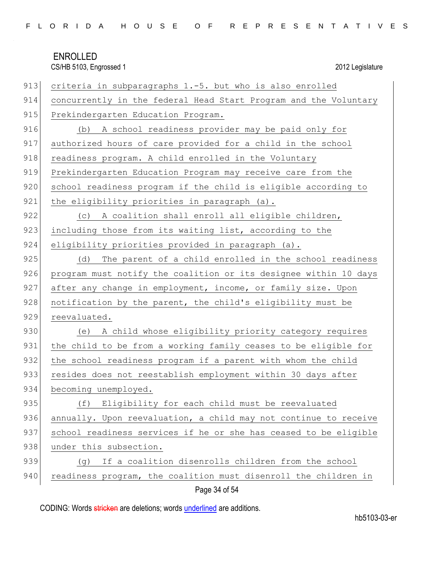| 913 | criteria in subparagraphs 1.-5. but who is also enrolled         |
|-----|------------------------------------------------------------------|
| 914 | concurrently in the federal Head Start Program and the Voluntary |
| 915 | Prekindergarten Education Program.                               |
| 916 | A school readiness provider may be paid only for<br>(b)          |
| 917 | authorized hours of care provided for a child in the school      |
| 918 | readiness program. A child enrolled in the Voluntary             |
| 919 | Prekindergarten Education Program may receive care from the      |
| 920 | school readiness program if the child is eligible according to   |
| 921 | the eligibility priorities in paragraph (a).                     |
| 922 | A coalition shall enroll all eligible children,<br>(C)           |
| 923 | including those from its waiting list, according to the          |
| 924 | eligibility priorities provided in paragraph (a).                |
| 925 | The parent of a child enrolled in the school readiness<br>(d)    |
| 926 | program must notify the coalition or its designee within 10 days |
| 927 | after any change in employment, income, or family size. Upon     |
| 928 | notification by the parent, the child's eligibility must be      |
| 929 | reevaluated.                                                     |
| 930 | A child whose eligibility priority category requires<br>(e)      |
| 931 | the child to be from a working family ceases to be eligible for  |
| 932 | the school readiness program if a parent with whom the child     |
| 933 | resides does not reestablish employment within 30 days after     |
| 934 | becoming unemployed.                                             |
| 935 | Eligibility for each child must be reevaluated<br>(f)            |
| 936 | annually. Upon reevaluation, a child may not continue to receive |
| 937 | school readiness services if he or she has ceased to be eligible |
| 938 | under this subsection.                                           |
| 939 | If a coalition disenrolls children from the school<br>(g)        |
| 940 | readiness program, the coalition must disenroll the children in  |

## Page 34 of 54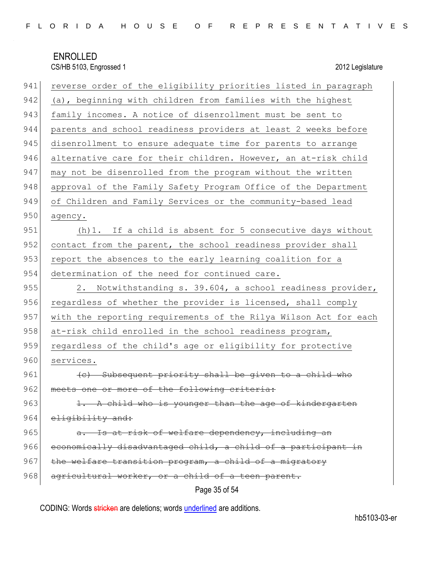| 941 | reverse order of the eligibility priorities listed in paragraph  |
|-----|------------------------------------------------------------------|
| 942 | (a), beginning with children from families with the highest      |
| 943 | family incomes. A notice of disenrollment must be sent to        |
| 944 | parents and school readiness providers at least 2 weeks before   |
| 945 | disenrollment to ensure adequate time for parents to arrange     |
| 946 | alternative care for their children. However, an at-risk child   |
| 947 | may not be disenrolled from the program without the written      |
| 948 | approval of the Family Safety Program Office of the Department   |
| 949 | of Children and Family Services or the community-based lead      |
| 950 | agency.                                                          |
| 951 | (h) 1. If a child is absent for 5 consecutive days without       |
| 952 | contact from the parent, the school readiness provider shall     |
| 953 | report the absences to the early learning coalition for a        |
| 954 | determination of the need for continued care.                    |
| 955 | 2. Notwithstanding s. 39.604, a school readiness provider,       |
| 956 | regardless of whether the provider is licensed, shall comply     |
| 957 | with the reporting requirements of the Rilya Wilson Act for each |
| 958 | at-risk child enrolled in the school readiness program,          |
| 959 | regardless of the child's age or eligibility for protective      |
| 960 | services.                                                        |
| 961 | (c) Subsequent priority shall be given to a child who            |
| 962 | meets one or more of the following criteria:                     |
| 963 | 1. A child who is younger than the age of kindergarten           |
| 964 | eligibility and:                                                 |
| 965 | Is at risk of welfare dependency, including an                   |
| 966 | economically disadvantaged child, a child of a participant in    |
| 967 | the welfare transition program, a child of a migratory           |
| 968 | agricultural worker, or a child of a teen parent.                |
|     | Page 35 of 54                                                    |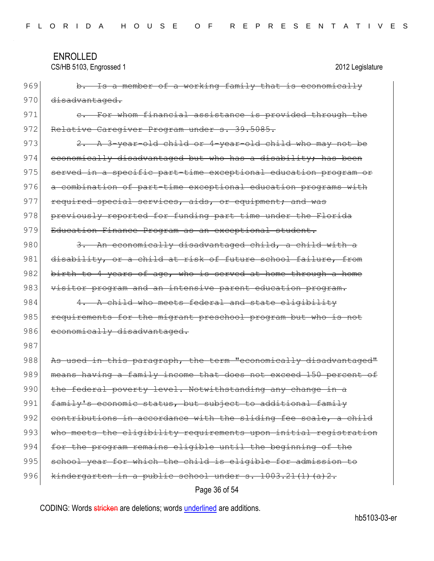CS/HB 5103, Engrossed 1 2012 Legislature

969 b. Is a member of a working family that is economically 970 disadvantaged. 971 e. For whom financial assistance is provided through the 972 Relative Caregiver Program under s. 39.5085. 973  $\left\{\n\begin{array}{ccc}\n2. & A \end{array}\n\right\}$   $\rightarrow$  year-old child who may not be 974 economically disadvantaged but who has a disability; has been 975 served in a specific part-time exceptional education program or 976 a combination of part-time exceptional education programs with 977 required special services, aids, or equipment; and was 978 previously reported for funding part time under the Florida 979 Education Finance Program as an exceptional student. 980 3. An economically disadvantaged child, a child with a 981 disability, or a child at risk of future school failure, from 982 birth to 4 years of age, who is served at home through a home 983 visitor program and an intensive parent education program.  $984$  4. A child who meets federal and state eligibility 985 requirements for the migrant preschool program but who is not 986 economically disadvantaged. 987 988 As used in this paragraph, the term "economically disadvantaged" 989 means having a family income that does not exceed 150 percent of 990 the federal poverty level. Notwithstanding any change in a 991  $f$  family's economic status, but subject to additional family 992 contributions in accordance with the sliding fee scale, a child 993 who meets the eligibility requirements upon initial registration 994 for the program remains eligible until the beginning of the 995 school year for which the child is eligible for admission to 996 kindergarten in a public school under  $s. 1003.21(1)(a)2.$ 

Page 36 of 54

CODING: Words stricken are deletions; words underlined are additions.

hb5103-03-er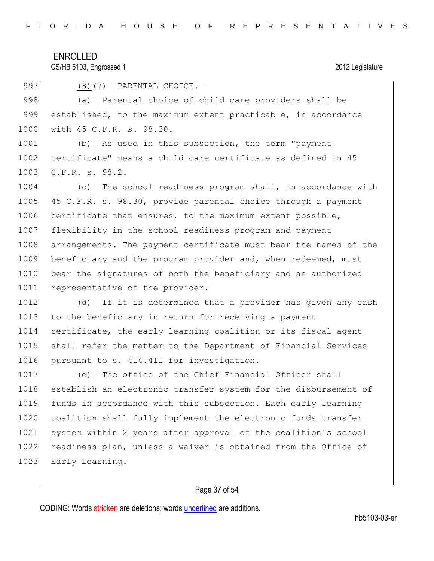CS/HB 5103, Engrossed 1 2012 Legislature

997 (8) $(7)$  PARENTAL CHOICE.

998 (a) Parental choice of child care providers shall be 999 established, to the maximum extent practicable, in accordance 1000 with 45 C.F.R. s. 98.30.

1001 (b) As used in this subsection, the term "payment 1002 certificate" means a child care certificate as defined in 45 1003 C.F.R. s. 98.2.

1004 (c) The school readiness program shall, in accordance with 1005 45 C.F.R. s. 98.30, provide parental choice through a payment 1006 certificate that ensures, to the maximum extent possible, 1007 flexibility in the school readiness program and payment 1008 arrangements. The payment certificate must bear the names of the 1009 beneficiary and the program provider and, when redeemed, must 1010 bear the signatures of both the beneficiary and an authorized 1011 representative of the provider.

1012 (d) If it is determined that a provider has given any cash 1013 to the beneficiary in return for receiving a payment 1014 certificate, the early learning coalition or its fiscal agent 1015 | shall refer the matter to the Department of Financial Services 1016 pursuant to s. 414.411 for investigation.

1017 (e) The office of the Chief Financial Officer shall 1018 establish an electronic transfer system for the disbursement of 1019 funds in accordance with this subsection. Each early learning 1020 coalition shall fully implement the electronic funds transfer 1021 system within 2 years after approval of the coalition's school 1022 readiness plan, unless a waiver is obtained from the Office of 1023 Early Learning.

#### Page 37 of 54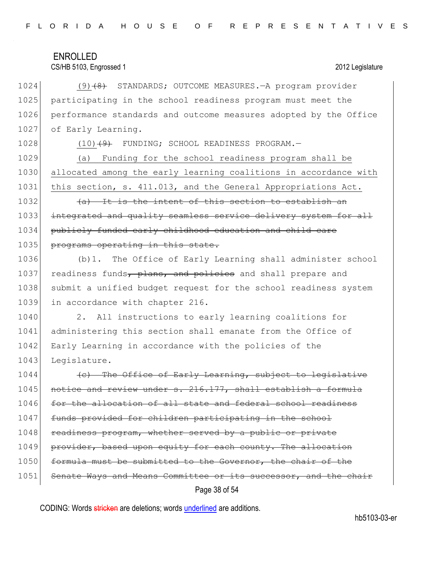|  |  |  |  |  |  |  |  | FLORIDA HOUSE OF REPRESENTATIVES |  |  |  |  |  |  |  |  |  |  |  |  |  |  |  |  |  |  |  |  |  |  |  |  |  |  |
|--|--|--|--|--|--|--|--|----------------------------------|--|--|--|--|--|--|--|--|--|--|--|--|--|--|--|--|--|--|--|--|--|--|--|--|--|--|
|--|--|--|--|--|--|--|--|----------------------------------|--|--|--|--|--|--|--|--|--|--|--|--|--|--|--|--|--|--|--|--|--|--|--|--|--|--|

#### CS/HB 5103, Engrossed 1 2012 Legislature

1024 (9)<del>(8)</del> STANDARDS; OUTCOME MEASURES.—A program provider 1025 participating in the school readiness program must meet the 1026 performance standards and outcome measures adopted by the Office 1027 of Early Learning.

1028 (10)<del>(9)</del> FUNDING; SCHOOL READINESS PROGRAM. 1029 (a) Funding for the school readiness program shall be 1030 allocated among the early learning coalitions in accordance with

1031 this section, s. 411.013, and the General Appropriations Act.

1032 (a) It is the intent of this section to establish an 1033 integrated and quality seamless service delivery system for all 1034 publicly funded early childhood education and child care 1035 programs operating in this state.

1036 (b)1. The Office of Early Learning shall administer school 1037 readiness funds, plans, and policies and shall prepare and 1038 submit a unified budget request for the school readiness system 1039 in accordance with chapter 216.

1040 2. All instructions to early learning coalitions for 1041 administering this section shall emanate from the Office of 1042 Early Learning in accordance with the policies of the 1043 Legislature.

 $1044$  (c) The Office of Early Learning, subject to legislat 1045 notice and review under s. 216.177, shall establish a formula 1046 for the allocation of all state and federal school readiness 1047 funds provided for children participating in the school 1048 readiness program, whether served by a public or private 1049 provider, based upon equity for each county. The allocation 1050 formula must be submitted to the Governor, the chair of the 1051 Senate Ways and Means Committee or its successor, and the chair

Page 38 of 54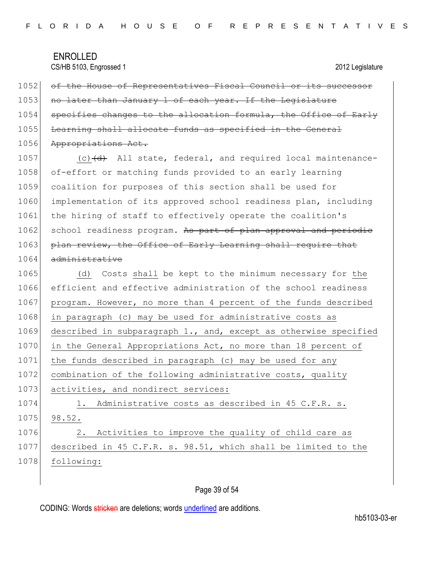CS/HB 5103, Engrossed 1 2012 Legislature

1052 of the House of Representatives Fiscal Council or its successor 1053 no later than January 1 of each year. If the Legislature 1054 specifies changes to the allocation formula, the Office of Early 1055 Learning shall allocate funds as specified in the General 1056 Appropriations Act.  $1057$  (c) $\left(\frac{d}{d}\right)$  All state, federal, and required local maintenance-1058 of-effort or matching funds provided to an early learning

1059 coalition for purposes of this section shall be used for 1060 implementation of its approved school readiness plan, including 1061 the hiring of staff to effectively operate the coalition's 1062 school readiness program. As part of plan approval and periodic 1063 plan review, the Office of Early Learning shall require that 1064 administrative

1065 (d) Costs shall be kept to the minimum necessary for the 1066 efficient and effective administration of the school readiness 1067 program. However, no more than 4 percent of the funds described 1068 in paragraph (c) may be used for administrative costs as 1069 described in subparagraph 1., and, except as otherwise specified 1070 in the General Appropriations Act, no more than 18 percent of 1071 the funds described in paragraph (c) may be used for any 1072 combination of the following administrative costs, quality 1073 activities, and nondirect services: 1074 1. Administrative costs as described in 45 C.F.R. s. 1075 98.52. 1076 2. Activities to improve the quality of child care as 1077 described in 45 C.F.R. s. 98.51, which shall be limited to the 1078 following:

### Page 39 of 54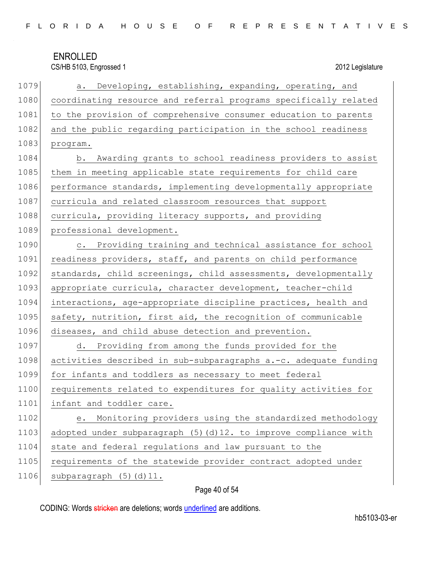|  |  |  |  |  |  |  |  |  |  |  |  | FLORIDA HOUSE OF REPRESENTATIVES |  |  |  |  |  |  |  |  |  |  |  |  |  |  |  |  |
|--|--|--|--|--|--|--|--|--|--|--|--|----------------------------------|--|--|--|--|--|--|--|--|--|--|--|--|--|--|--|--|
|--|--|--|--|--|--|--|--|--|--|--|--|----------------------------------|--|--|--|--|--|--|--|--|--|--|--|--|--|--|--|--|

| 1079 | a. Developing, establishing, expanding, operating, and            |
|------|-------------------------------------------------------------------|
| 1080 | coordinating resource and referral programs specifically related  |
| 1081 | to the provision of comprehensive consumer education to parents   |
| 1082 | and the public regarding participation in the school readiness    |
| 1083 | program.                                                          |
| 1084 | b. Awarding grants to school readiness providers to assist        |
| 1085 | them in meeting applicable state requirements for child care      |
| 1086 | performance standards, implementing developmentally appropriate   |
| 1087 | curricula and related classroom resources that support            |
| 1088 | curricula, providing literacy supports, and providing             |
| 1089 | professional development.                                         |
| 1090 | c. Providing training and technical assistance for school         |
| 1091 | readiness providers, staff, and parents on child performance      |
| 1092 | standards, child screenings, child assessments, developmentally   |
| 1093 | appropriate curricula, character development, teacher-child       |
| 1094 | interactions, age-appropriate discipline practices, health and    |
| 1095 | safety, nutrition, first aid, the recognition of communicable     |
| 1096 | diseases, and child abuse detection and prevention.               |
| 1097 | d. Providing from among the funds provided for the                |
| 1098 | activities described in sub-subparagraphs a.-c. adequate funding  |
| 1099 | for infants and toddlers as necessary to meet federal             |
| 1100 | requirements related to expenditures for quality activities for   |
| 1101 | infant and toddler care.                                          |
| 1102 | Monitoring providers using the standardized methodology<br>е.     |
| 1103 | adopted under subparagraph (5) (d) 12. to improve compliance with |
| 1104 | state and federal regulations and law pursuant to the             |
| 1105 | requirements of the statewide provider contract adopted under     |
| 1106 | subparagraph (5) (d) 11.                                          |

## Page 40 of 54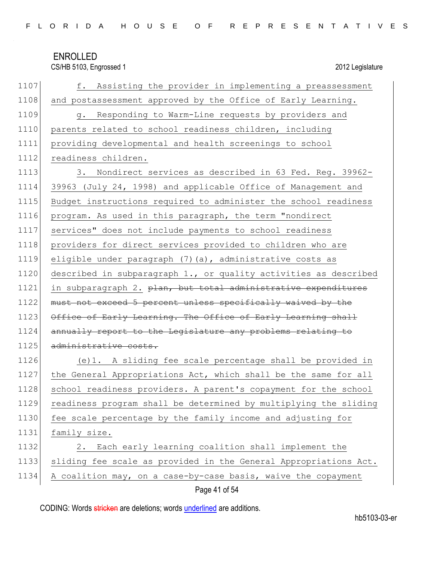CS/HB 5103, Engrossed 1 2012 Legislature

| 1107 | f. Assisting the provider in implementing a preassessment                 |
|------|---------------------------------------------------------------------------|
| 1108 | and postassessment approved by the Office of Early Learning.              |
| 1109 | g. Responding to Warm-Line requests by providers and                      |
| 1110 | parents related to school readiness children, including                   |
| 1111 | providing developmental and health screenings to school                   |
| 1112 | readiness children.                                                       |
| 1113 | 3. Nondirect services as described in 63 Fed. Reg. 39962-                 |
| 1114 | 39963 (July 24, 1998) and applicable Office of Management and             |
| 1115 | Budget instructions required to administer the school readiness           |
| 1116 | program. As used in this paragraph, the term "nondirect                   |
| 1117 | services" does not include payments to school readiness                   |
| 1118 | providers for direct services provided to children who are                |
| 1119 | eligible under paragraph (7) (a), administrative costs as                 |
| 1120 | described in subparagraph 1., or quality activities as described          |
| 1121 | in subparagraph 2. <del>plan, but total administrative expenditures</del> |
| 1122 | must not exceed 5 percent unless specifically waived by the               |
| 1123 | Office of Early Learning. The Office of Early Learning shall              |
| 1124 | annually report to the Legislature any problems relating to               |
| 1125 | administrative costs.                                                     |
| 1126 | (e)1. A sliding fee scale percentage shall be provided in                 |
| 1127 | the General Appropriations Act, which shall be the same for all           |
| 1128 | school readiness providers. A parent's copayment for the school           |
| 1129 | readiness program shall be determined by multiplying the sliding          |
| 1130 | fee scale percentage by the family income and adjusting for               |
| 1131 | family size.                                                              |
| 1132 | 2. Each early learning coalition shall implement the                      |
| 1133 | sliding fee scale as provided in the General Appropriations Act.          |
| 1134 | A coalition may, on a case-by-case basis, waive the copayment             |

Page 41 of 54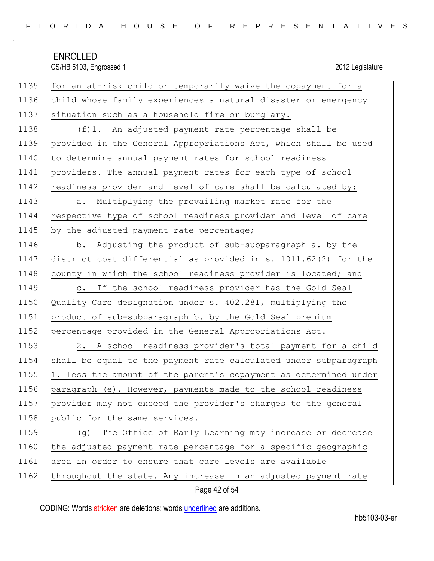|  |  |  |  |  |  |  |  |  |  |  |  | FLORIDA HOUSE OF REPRESENTATIVES |  |  |  |  |  |  |  |  |  |  |  |  |  |  |  |  |
|--|--|--|--|--|--|--|--|--|--|--|--|----------------------------------|--|--|--|--|--|--|--|--|--|--|--|--|--|--|--|--|
|--|--|--|--|--|--|--|--|--|--|--|--|----------------------------------|--|--|--|--|--|--|--|--|--|--|--|--|--|--|--|--|

| 1135 | for an at-risk child or temporarily waive the copayment for a    |
|------|------------------------------------------------------------------|
| 1136 | child whose family experiences a natural disaster or emergency   |
| 1137 | situation such as a household fire or burglary.                  |
| 1138 | (f)1. An adjusted payment rate percentage shall be               |
| 1139 | provided in the General Appropriations Act, which shall be used  |
| 1140 | to determine annual payment rates for school readiness           |
| 1141 | providers. The annual payment rates for each type of school      |
| 1142 | readiness provider and level of care shall be calculated by:     |
| 1143 | Multiplying the prevailing market rate for the<br>а.             |
| 1144 | respective type of school readiness provider and level of care   |
| 1145 | by the adjusted payment rate percentage;                         |
| 1146 | b. Adjusting the product of sub-subparagraph a. by the           |
| 1147 | district cost differential as provided in s. 1011.62(2) for the  |
| 1148 | county in which the school readiness provider is located; and    |
| 1149 | If the school readiness provider has the Gold Seal<br>$\circ$ .  |
| 1150 | Quality Care designation under s. 402.281, multiplying the       |
| 1151 | product of sub-subparagraph b. by the Gold Seal premium          |
| 1152 | percentage provided in the General Appropriations Act.           |
| 1153 | 2. A school readiness provider's total payment for a child       |
| 1154 | shall be equal to the payment rate calculated under subparagraph |
| 1155 | 1. less the amount of the parent's copayment as determined under |
| 1156 | paragraph (e). However, payments made to the school readiness    |
| 1157 | provider may not exceed the provider's charges to the general    |
| 1158 | public for the same services.                                    |
| 1159 | The Office of Early Learning may increase or decrease<br>(၂)     |
| 1160 | the adjusted payment rate percentage for a specific geographic   |
| 1161 | area in order to ensure that care levels are available           |
| 1162 | throughout the state. Any increase in an adjusted payment rate   |

Page 42 of 54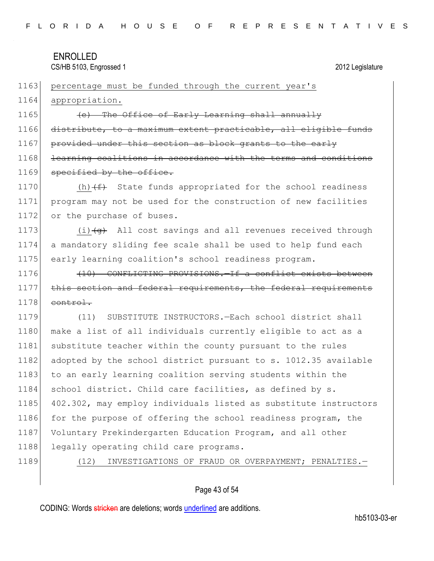1164 appropriation.

1165 (e) The Office of Early Learning shall annually 1166 distribute, to a maximum extent practicable, all eligible funds 1167 provided under this section as block grants to the early 1168 learning coalitions in accordance with the terms and conditions 1169 specified by the office.

1163 percentage must be funded through the current year's

1170  $(h)$  (h)  $(f)$  State funds appropriated for the school readiness 1171 program may not be used for the construction of new facilities 1172 or the purchase of buses.

1173  $(i)$   $\left(4\right)$  All cost savings and all revenues received through 1174 a mandatory sliding fee scale shall be used to help fund each 1175 early learning coalition's school readiness program.

1176 (10) CONFLICTING PROVISIONS. The conflict exists between 1177 this section and federal requirements, the federal requirements  $1178$  control.

1179 (11) SUBSTITUTE INSTRUCTORS.—Each school district shall 1180 make a list of all individuals currently eligible to act as a 1181 substitute teacher within the county pursuant to the rules 1182 adopted by the school district pursuant to s. 1012.35 available 1183 to an early learning coalition serving students within the 1184 school district. Child care facilities, as defined by s. 1185 402.302, may employ individuals listed as substitute instructors 1186 for the purpose of offering the school readiness program, the 1187 Voluntary Prekindergarten Education Program, and all other 1188 legally operating child care programs.

1189 (12) INVESTIGATIONS OF FRAUD OR OVERPAYMENT; PENALTIES.

### Page 43 of 54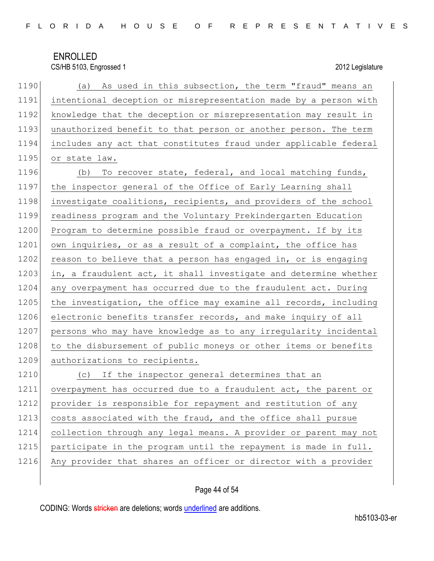| FLORIDA HOUSE OF REPRESENTATIVES |  |
|----------------------------------|--|
|----------------------------------|--|

| 1190 | (a) As used in this subsection, the term "fraud" means an        |
|------|------------------------------------------------------------------|
| 1191 | intentional deception or misrepresentation made by a person with |
| 1192 | knowledge that the deception or misrepresentation may result in  |
| 1193 | unauthorized benefit to that person or another person. The term  |
| 1194 | includes any act that constitutes fraud under applicable federal |
| 1195 | or state law.                                                    |
| 1196 | To recover state, federal, and local matching funds,<br>(b)      |
| 1197 | the inspector general of the Office of Early Learning shall      |
| 1198 | investigate coalitions, recipients, and providers of the school  |
| 1199 | readiness program and the Voluntary Prekindergarten Education    |
| 1200 | Program to determine possible fraud or overpayment. If by its    |
| 1201 | own inquiries, or as a result of a complaint, the office has     |
| 1202 | reason to believe that a person has engaged in, or is engaging   |
| 1203 | in, a fraudulent act, it shall investigate and determine whether |
| 1204 | any overpayment has occurred due to the fraudulent act. During   |
| 1205 | the investigation, the office may examine all records, including |
| 1206 | electronic benefits transfer records, and make inquiry of all    |
| 1207 | persons who may have knowledge as to any irregularity incidental |
| 1208 | to the disbursement of public moneys or other items or benefits  |
| 1209 | authorizations to recipients.                                    |
| 1210 | If the inspector general determines that an<br>(C)               |
| 1211 | overpayment has occurred due to a fraudulent act, the parent or  |
| 1212 | provider is responsible for repayment and restitution of any     |
| 1213 | costs associated with the fraud, and the office shall pursue     |
| 1214 | collection through any legal means. A provider or parent may not |
| 1215 | participate in the program until the repayment is made in full.  |
| 1216 | Any provider that shares an officer or director with a provider  |

## Page 44 of 54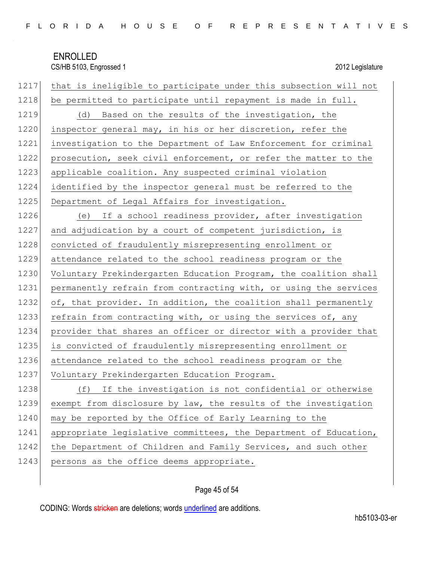| 1217 | that is ineligible to participate under this subsection will not |
|------|------------------------------------------------------------------|
| 1218 | be permitted to participate until repayment is made in full.     |
| 1219 | (d) Based on the results of the investigation, the               |
| 1220 | inspector general may, in his or her discretion, refer the       |
| 1221 | investigation to the Department of Law Enforcement for criminal  |
| 1222 | prosecution, seek civil enforcement, or refer the matter to the  |
| 1223 | applicable coalition. Any suspected criminal violation           |
| 1224 | identified by the inspector general must be referred to the      |
| 1225 | Department of Legal Affairs for investigation.                   |
| 1226 | (e) If a school readiness provider, after investigation          |
| 1227 | and adjudication by a court of competent jurisdiction, is        |
| 1228 | convicted of fraudulently misrepresenting enrollment or          |
| 1229 | attendance related to the school readiness program or the        |
| 1230 | Voluntary Prekindergarten Education Program, the coalition shall |
| 1231 | permanently refrain from contracting with, or using the services |
| 1232 | of, that provider. In addition, the coalition shall permanently  |
| 1233 | refrain from contracting with, or using the services of, any     |
| 1234 | provider that shares an officer or director with a provider that |
| 1235 | is convicted of fraudulently misrepresenting enrollment or       |
| 1236 | attendance related to the school readiness program or the        |
| 1237 | Voluntary Prekindergarten Education Program.                     |
| 1238 | If the investigation is not confidential or otherwise<br>(f)     |
| 1239 | exempt from disclosure by law, the results of the investigation  |
| 1240 | may be reported by the Office of Early Learning to the           |
| 1241 | appropriate legislative committees, the Department of Education, |
| 1242 | the Department of Children and Family Services, and such other   |
| 1243 | persons as the office deems appropriate.                         |

## Page 45 of 54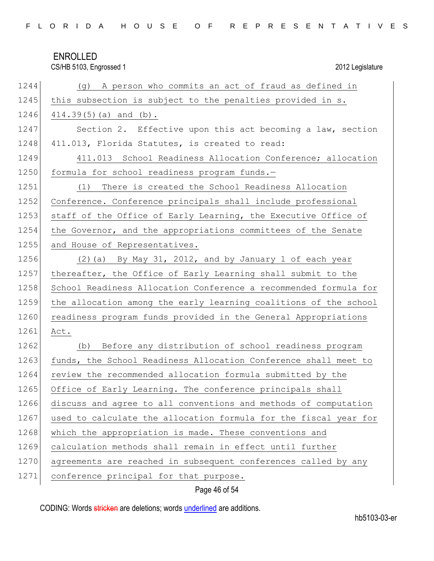|  |  |  |  |  |  |  |  |  |  |  |  | FLORIDA HOUSE OF REPRESENTATIVES |  |  |  |  |  |  |  |  |  |  |  |  |  |  |  |  |
|--|--|--|--|--|--|--|--|--|--|--|--|----------------------------------|--|--|--|--|--|--|--|--|--|--|--|--|--|--|--|--|
|--|--|--|--|--|--|--|--|--|--|--|--|----------------------------------|--|--|--|--|--|--|--|--|--|--|--|--|--|--|--|--|

CS/HB 5103, Engrossed 1 2012 Legislature

| 1244 | (g) A person who commits an act of fraud as defined in           |
|------|------------------------------------------------------------------|
| 1245 | this subsection is subject to the penalties provided in s.       |
| 1246 | $414.39(5)$ (a) and (b).                                         |
| 1247 | Section 2. Effective upon this act becoming a law, section       |
| 1248 | 411.013, Florida Statutes, is created to read:                   |
| 1249 | 411.013 School Readiness Allocation Conference; allocation       |
| 1250 | formula for school readiness program funds.-                     |
| 1251 | There is created the School Readiness Allocation<br>(1)          |
| 1252 | Conference. Conference principals shall include professional     |
| 1253 | staff of the Office of Early Learning, the Executive Office of   |
| 1254 | the Governor, and the appropriations committees of the Senate    |
| 1255 | and House of Representatives.                                    |
| 1256 | (2) (a) By May 31, 2012, and by January 1 of each year           |
| 1257 | thereafter, the Office of Early Learning shall submit to the     |
| 1258 | School Readiness Allocation Conference a recommended formula for |
| 1259 | the allocation among the early learning coalitions of the school |
| 1260 | readiness program funds provided in the General Appropriations   |
| 1261 | Act.                                                             |
| 1262 | Before any distribution of school readiness program<br>(b)       |
| 1263 | funds, the School Readiness Allocation Conference shall meet to  |
| 1264 | review the recommended allocation formula submitted by the       |
| 1265 | Office of Early Learning. The conference principals shall        |
| 1266 | discuss and agree to all conventions and methods of computation  |
| 1267 | used to calculate the allocation formula for the fiscal year for |
| 1268 | which the appropriation is made. These conventions and           |
| 1269 | calculation methods shall remain in effect until further         |
| 1270 | agreements are reached in subsequent conferences called by any   |
| 1271 | conference principal for that purpose.                           |

Page 46 of 54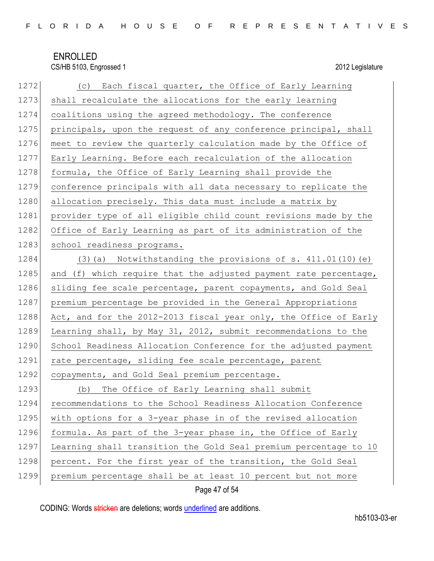| 1272 | (c) Each fiscal quarter, the Office of Early Learning            |
|------|------------------------------------------------------------------|
| 1273 | shall recalculate the allocations for the early learning         |
| 1274 | coalitions using the agreed methodology. The conference          |
| 1275 | principals, upon the request of any conference principal, shall  |
| 1276 | meet to review the quarterly calculation made by the Office of   |
| 1277 | Early Learning. Before each recalculation of the allocation      |
| 1278 | formula, the Office of Early Learning shall provide the          |
| 1279 | conference principals with all data necessary to replicate the   |
| 1280 | allocation precisely. This data must include a matrix by         |
| 1281 | provider type of all eligible child count revisions made by the  |
| 1282 | Office of Early Learning as part of its administration of the    |
| 1283 | school readiness programs.                                       |
| 1284 | $(3)$ (a) Notwithstanding the provisions of s. 411.01(10) (e)    |
| 1285 | and (f) which require that the adjusted payment rate percentage, |
| 1286 | sliding fee scale percentage, parent copayments, and Gold Seal   |
| 1287 | premium percentage be provided in the General Appropriations     |
| 1288 | Act, and for the 2012-2013 fiscal year only, the Office of Early |
| 1289 | Learning shall, by May 31, 2012, submit recommendations to the   |
| 1290 | School Readiness Allocation Conference for the adjusted payment  |
| 1291 | rate percentage, sliding fee scale percentage, parent            |
| 1292 | copayments, and Gold Seal premium percentage.                    |
| 1293 | (b) The Office of Early Learning shall submit                    |
| 1294 | recommendations to the School Readiness Allocation Conference    |
| 1295 | with options for a 3-year phase in of the revised allocation     |
| 1296 | formula. As part of the 3-year phase in, the Office of Early     |
| 1297 | Learning shall transition the Gold Seal premium percentage to 10 |
| 1298 | percent. For the first year of the transition, the Gold Seal     |
| 1299 | premium percentage shall be at least 10 percent but not more     |

Page 47 of 54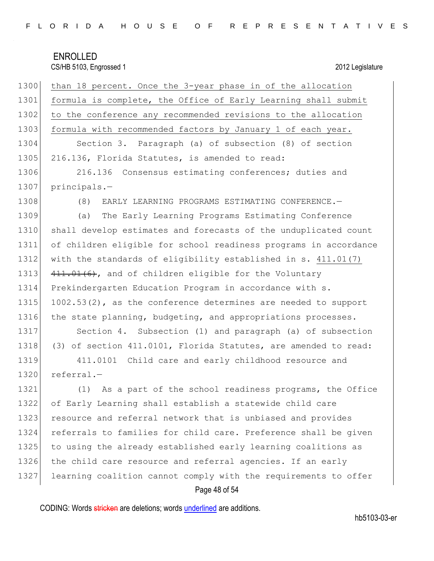| 1300 | than 18 percent. Once the 3-year phase in of the allocation       |
|------|-------------------------------------------------------------------|
| 1301 | formula is complete, the Office of Early Learning shall submit    |
| 1302 | to the conference any recommended revisions to the allocation     |
| 1303 | formula with recommended factors by January 1 of each year.       |
| 1304 | Section 3. Paragraph (a) of subsection (8) of section             |
| 1305 | 216.136, Florida Statutes, is amended to read:                    |
| 1306 | 216.136 Consensus estimating conferences; duties and              |
| 1307 | $principals.$ -                                                   |
| 1308 | (8)<br>EARLY LEARNING PROGRAMS ESTIMATING CONFERENCE.-            |
| 1309 | The Early Learning Programs Estimating Conference<br>(a)          |
| 1310 | shall develop estimates and forecasts of the unduplicated count   |
| 1311 | of children eligible for school readiness programs in accordance  |
| 1312 | with the standards of eligibility established in s. 411.01(7)     |
| 1313 | 411.01(6), and of children eligible for the Voluntary             |
| 1314 | Prekindergarten Education Program in accordance with s.           |
| 1315 | $1002.53(2)$ , as the conference determines are needed to support |
| 1316 | the state planning, budgeting, and appropriations processes.      |
| 1317 | Section 4. Subsection (1) and paragraph (a) of subsection         |
| 1318 | (3) of section 411.0101, Florida Statutes, are amended to read:   |
| 1319 | 411.0101<br>Child care and early childhood resource and           |
| 1320 | $referral.$ -                                                     |
| 1321 | (1) As a part of the school readiness programs, the Office        |
| 1322 | of Early Learning shall establish a statewide child care          |
| 1323 | resource and referral network that is unbiased and provides       |
| 1324 | referrals to families for child care. Preference shall be given   |
| 1325 | to using the already established early learning coalitions as     |
| 1326 | the child care resource and referral agencies. If an early        |
| 1327 | learning coalition cannot comply with the requirements to offer   |
|      |                                                                   |

## Page 48 of 54

CODING: Words stricken are deletions; words underlined are additions.

hb5103-03-er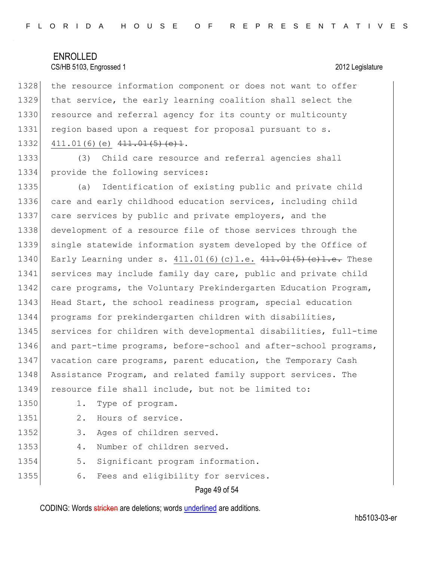1328 the resource information component or does not want to offer 1329 that service, the early learning coalition shall select the 1330 resource and referral agency for its county or multicounty 1331 region based upon a request for proposal pursuant to s. 1332 411.01(6)(e) 411.01(5)(e)1.

1333 (3) Child care resource and referral agencies shall 1334 provide the following services:

1335 (a) Identification of existing public and private child 1336 care and early childhood education services, including child 1337 care services by public and private employers, and the 1338 development of a resource file of those services through the 1339 single statewide information system developed by the Office of 1340 Early Learning under s. 411.01(6)(c)1.e. 411.01(5)(c)1.e. These 1341 services may include family day care, public and private child 1342 care programs, the Voluntary Prekindergarten Education Program, 1343 Head Start, the school readiness program, special education 1344 programs for prekindergarten children with disabilities, 1345 services for children with developmental disabilities, full-time 1346 and part-time programs, before-school and after-school programs, 1347 vacation care programs, parent education, the Temporary Cash 1348 Assistance Program, and related family support services. The 1349 resource file shall include, but not be limited to: 1350 1. Type of program. 1351 2. Hours of service. 1352 3. Ages of children served.

1353 4. Number of children served.

1354 5. Significant program information.

1355 6. Fees and eligibility for services.

Page 49 of 54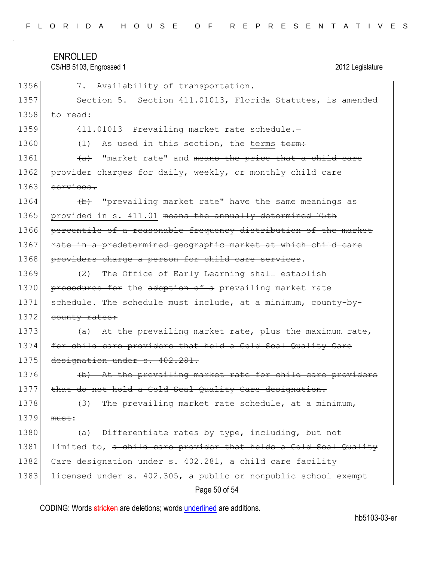|  |  |  | FLORIDA HOUSE OF REPRESENTATIVES |  |  |  |  |  |  |  |  |  |  |  |  |  |
|--|--|--|----------------------------------|--|--|--|--|--|--|--|--|--|--|--|--|--|
|  |  |  |                                  |  |  |  |  |  |  |  |  |  |  |  |  |  |

CS/HB 5103, Engrossed 1 2012 Legislature

| 1356 | Availability of transportation.<br>7.                            |
|------|------------------------------------------------------------------|
| 1357 | Section 5. Section 411.01013, Florida Statutes, is amended       |
| 1358 | to read:                                                         |
| 1359 | 411.01013 Prevailing market rate schedule.-                      |
| 1360 | As used in this section, the terms term:<br>(1)                  |
| 1361 | "market rate" and means the price that a child care<br>(a)       |
| 1362 | provider charges for daily, weekly, or monthly child care        |
| 1363 | services.                                                        |
| 1364 | (b) "prevailing market rate" have the same meanings as           |
| 1365 | provided in s. 411.01 means the annually determined 75th         |
| 1366 | percentile of a reasonable frequency distribution of the market  |
| 1367 | rate in a predetermined geographic market at which child care    |
| 1368 | providers charge a person for child care services.               |
| 1369 | The Office of Early Learning shall establish<br>(2)              |
| 1370 | procedures for the adoption of a prevailing market rate          |
| 1371 | schedule. The schedule must include, at a minimum, county-by-    |
| 1372 | county rates:                                                    |
| 1373 | (a) At the prevailing market rate, plus the maximum rate,        |
| 1374 | for child care providers that hold a Gold Seal Quality Care      |
| 1375 | designation under s. 402.281.                                    |
| 1376 | (b) At the prevailing market rate for child care providers       |
| 1377 | that do not hold a Gold Seal Quality Care designation.           |
| 1378 | (3) The prevailing market rate schedule, at a minimum,           |
| 1379 | must:                                                            |
| 1380 | Differentiate rates by type, including, but not<br>(a)           |
| 1381 | limited to, a child care provider that holds a Gold Seal Quality |
| 1382 | Care designation under s. 402.281, a child care facility         |
| 1383 | licensed under s. 402.305, a public or nonpublic school exempt   |
|      | Page 50 of 54                                                    |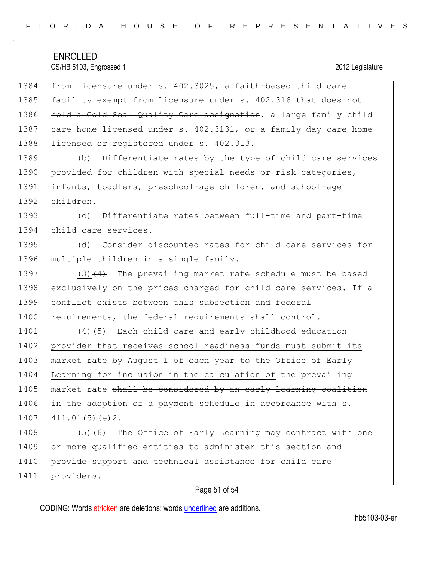### CS/HB 5103, Engrossed 1 2012 Legislature

1384 from licensure under s. 402.3025, a faith-based child care 1385 facility exempt from licensure under s. 402.316 that does not 1386 hold a Gold Seal Quality Care designation, a large family child 1387 care home licensed under s. 402.3131, or a family day care home 1388 licensed or registered under s. 402.313.

 (b) Differentiate rates by the type of child care services 1390 provided for children with special needs or risk categories, infants, toddlers, preschool-age children, and school-age children.

1393 (c) Differentiate rates between full-time and part-time 1394 child care services.

1395 (d) Consider discounted rates for child care services for 1396 multiple children in a single family.

1397 (3) $(4)$  The prevailing market rate schedule must be based 1398 exclusively on the prices charged for child care services. If a 1399 conflict exists between this subsection and federal 1400 requirements, the federal requirements shall control.

1401  $(4)$   $(5)$  Each child care and early childhood education 1402 provider that receives school readiness funds must submit its 1403 market rate by August 1 of each year to the Office of Early 1404 Learning for inclusion in the calculation of the prevailing 1405 market rate shall be considered by an early learning coalition  $1406$  in the adoption of a payment schedule in accordance with  $s$ .  $1407$   $411.01(5)(e)2$ .

1408  $(5)$  (6) The Office of Early Learning may contract with one 1409 or more qualified entities to administer this section and 1410 provide support and technical assistance for child care 1411 providers.

#### Page 51 of 54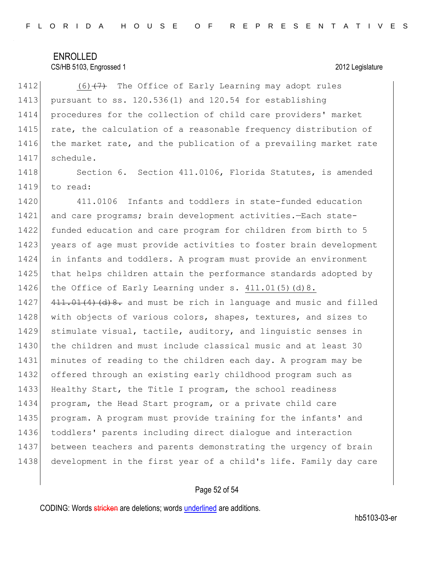#### CS/HB 5103, Engrossed 1 2012 Legislature

 $(6)$   $(7)$  The Office of Early Learning may adopt rules pursuant to ss. 120.536(1) and 120.54 for establishing procedures for the collection of child care providers' market 1415 rate, the calculation of a reasonable frequency distribution of 1416 the market rate, and the publication of a prevailing market rate schedule.

1418 Section 6. Section 411.0106, Florida Statutes, is amended 1419 to read:

1420 411.0106 Infants and toddlers in state-funded education 1421 and care programs; brain development activities. -Each state- funded education and care program for children from birth to 5 1423 years of age must provide activities to foster brain development in infants and toddlers. A program must provide an environment 1425 that helps children attain the performance standards adopted by 1426 the Office of Early Learning under s. 411.01(5)(d)8.  $\left(411.01(4)\right)\right)$   $\left(41.01(4)\right)\right)$  and must be rich in language and music and filled 1428 with objects of various colors, shapes, textures, and sizes to stimulate visual, tactile, auditory, and linguistic senses in 1430 the children and must include classical music and at least 30 minutes of reading to the children each day. A program may be offered through an existing early childhood program such as Healthy Start, the Title I program, the school readiness program, the Head Start program, or a private child care program. A program must provide training for the infants' and toddlers' parents including direct dialogue and interaction between teachers and parents demonstrating the urgency of brain development in the first year of a child's life. Family day care

#### Page 52 of 54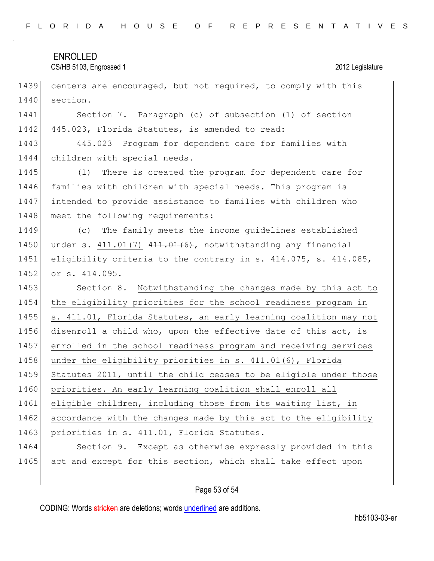| FLORIDA HOUSE OF REPRESENTATIVES |  |  |
|----------------------------------|--|--|
|----------------------------------|--|--|

### CS/HB 5103, Engrossed 1 2012 Legislature

1439 centers are encouraged, but not required, to comply with this 1440 section.

1441 Section 7. Paragraph (c) of subsection (1) of section 1442 445.023, Florida Statutes, is amended to read:

1443 445.023 Program for dependent care for families with 1444 children with special needs.-

1445 (1) There is created the program for dependent care for 1446 families with children with special needs. This program is 1447 intended to provide assistance to families with children who 1448 meet the following requirements:

1449 (c) The family meets the income guidelines established 1450 under s.  $411.01(7)$   $411.01(6)$ , notwithstanding any financial 1451 eligibility criteria to the contrary in s. 414.075, s. 414.085, 1452 or s. 414.095.

1453 Section 8. Notwithstanding the changes made by this act to 1454 the eligibility priorities for the school readiness program in 1455 s. 411.01, Florida Statutes, an early learning coalition may not 1456 disenroll a child who, upon the effective date of this act, is 1457 enrolled in the school readiness program and receiving services 1458 under the eligibility priorities in s. 411.01(6), Florida 1459 Statutes 2011, until the child ceases to be eligible under those 1460 priorities. An early learning coalition shall enroll all 1461 eligible children, including those from its waiting list, in 1462 accordance with the changes made by this act to the eligibility 1463 priorities in s. 411.01, Florida Statutes.

1464 Section 9. Except as otherwise expressly provided in this 1465 act and except for this section, which shall take effect upon

#### Page 53 of 54